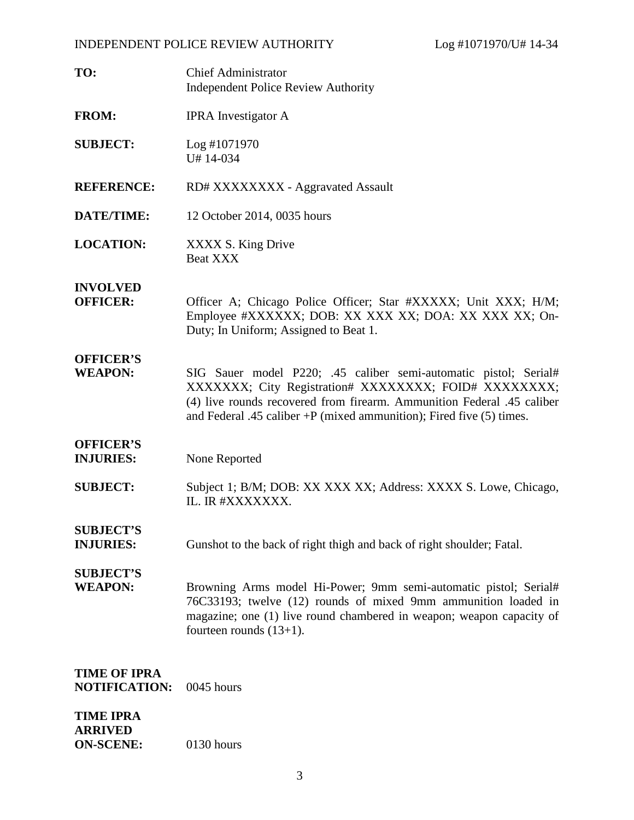- **TO:** Chief Administrator Independent Police Review Authority
- **FROM:** IPRA Investigator A
- **SUBJECT:** Log #1071970 U# 14-034
- **REFERENCE:** RD# XXXXXXXX Aggravated Assault
- **DATE/TIME:** 12 October 2014, 0035 hours
- **LOCATION:** XXXX S. King Drive Beat XXX

## **INVOLVED**

**OFFICER:** Officer A; Chicago Police Officer; Star #XXXXX; Unit XXX; H/M; Employee #XXXXXX; DOB: XX XXX XX; DOA: XX XXX XX; On-Duty; In Uniform; Assigned to Beat 1.

# **OFFICER'S**

**WEAPON:** SIG Sauer model P220; .45 caliber semi-automatic pistol; Serial# XXXXXXX; City Registration# XXXXXXXX; FOID# XXXXXXXX; (4) live rounds recovered from firearm. Ammunition Federal .45 caliber and Federal .45 caliber +P (mixed ammunition); Fired five (5) times.

# **OFFICER'S**

**INJURIES:** None Reported

**SUBJECT:** Subject 1; B/M; DOB: XX XXX XX; Address: XXXX S. Lowe, Chicago, IL. IR #XXXXXXX.

### **INJURIES:** Gunshot to the back of right thigh and back of right shoulder; Fatal.

# **SUBJECT'S**

**SUBJECT'S**

**WEAPON:** Browning Arms model Hi-Power; 9mm semi-automatic pistol; Serial# 76C33193; twelve (12) rounds of mixed 9mm ammunition loaded in magazine; one (1) live round chambered in weapon; weapon capacity of fourteen rounds (13+1).

| <b>TIME OF IPRA</b>  |              |
|----------------------|--------------|
| <b>NOTIFICATION:</b> | $0045$ hours |

#### **TIME IPRA ARRIVED**

| ANNI Y LIZ       |              |
|------------------|--------------|
| <b>ON-SCENE:</b> | $0130$ hours |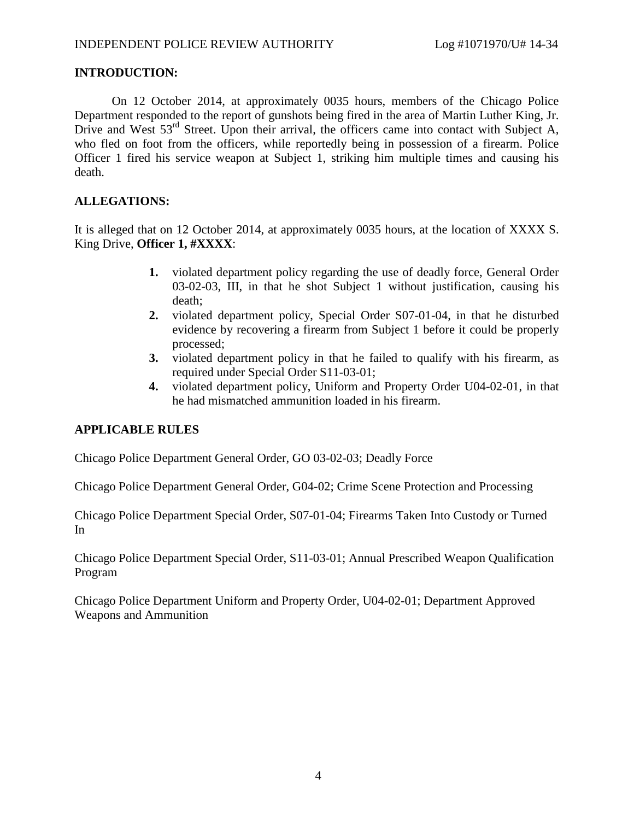#### **INTRODUCTION:**

On 12 October 2014, at approximately 0035 hours, members of the Chicago Police Department responded to the report of gunshots being fired in the area of Martin Luther King, Jr. Drive and West 53<sup>rd</sup> Street. Upon their arrival, the officers came into contact with Subject A, who fled on foot from the officers, while reportedly being in possession of a firearm. Police Officer 1 fired his service weapon at Subject 1, striking him multiple times and causing his death.

#### **ALLEGATIONS:**

It is alleged that on 12 October 2014, at approximately 0035 hours, at the location of XXXX S. King Drive, **Officer 1, #XXXX**:

- **1.** violated department policy regarding the use of deadly force, General Order 03-02-03, III, in that he shot Subject 1 without justification, causing his death;
- **2.** violated department policy, Special Order S07-01-04, in that he disturbed evidence by recovering a firearm from Subject 1 before it could be properly processed;
- **3.** violated department policy in that he failed to qualify with his firearm, as required under Special Order S11-03-01;
- **4.** violated department policy, Uniform and Property Order U04-02-01, in that he had mismatched ammunition loaded in his firearm.

#### **APPLICABLE RULES**

Chicago Police Department General Order, GO 03-02-03; Deadly Force

Chicago Police Department General Order, G04-02; Crime Scene Protection and Processing

Chicago Police Department Special Order, S07-01-04; Firearms Taken Into Custody or Turned In

Chicago Police Department Special Order, S11-03-01; Annual Prescribed Weapon Qualification Program

Chicago Police Department Uniform and Property Order, U04-02-01; Department Approved Weapons and Ammunition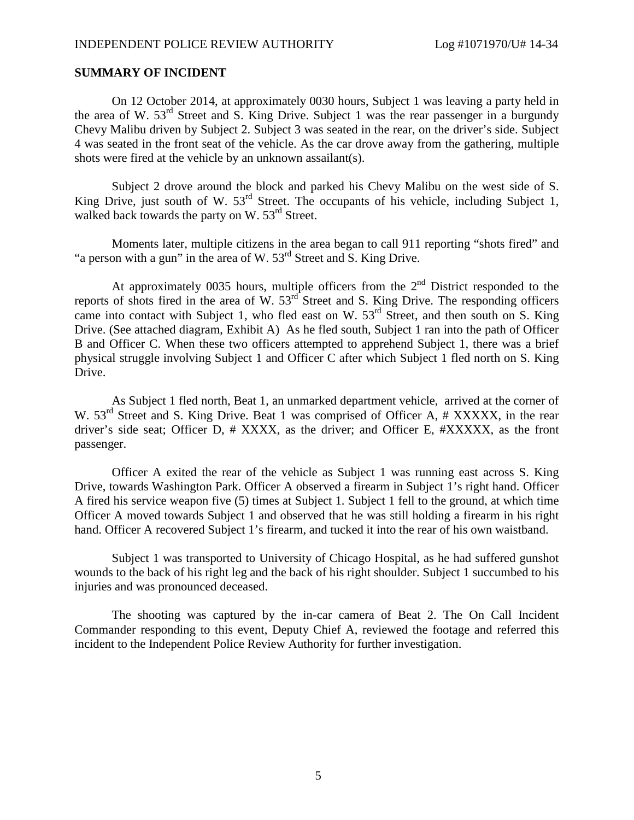#### **SUMMARY OF INCIDENT**

On 12 October 2014, at approximately 0030 hours, Subject 1 was leaving a party held in the area of W.  $53<sup>rd</sup>$  Street and S. King Drive. Subject 1 was the rear passenger in a burgundy Chevy Malibu driven by Subject 2. Subject 3 was seated in the rear, on the driver's side. Subject 4 was seated in the front seat of the vehicle. As the car drove away from the gathering, multiple shots were fired at the vehicle by an unknown assailant(s).

Subject 2 drove around the block and parked his Chevy Malibu on the west side of S. King Drive, just south of W.  $53<sup>rd</sup>$  Street. The occupants of his vehicle, including Subject 1, walked back towards the party on W. 53<sup>rd</sup> Street.

Moments later, multiple citizens in the area began to call 911 reporting "shots fired" and "a person with a gun" in the area of W. 53<sup>rd</sup> Street and S. King Drive.

At approximately 0035 hours, multiple officers from the  $2<sup>nd</sup>$  District responded to the reports of shots fired in the area of W.  $53<sup>rd</sup>$  Street and S. King Drive. The responding officers came into contact with Subject 1, who fled east on W.  $53<sup>rd</sup>$  Street, and then south on S. King Drive. (See attached diagram, Exhibit A) As he fled south, Subject 1 ran into the path of Officer B and Officer C. When these two officers attempted to apprehend Subject 1, there was a brief physical struggle involving Subject 1 and Officer C after which Subject 1 fled north on S. King Drive.

As Subject 1 fled north, Beat 1, an unmarked department vehicle, arrived at the corner of W. 53<sup>rd</sup> Street and S. King Drive. Beat 1 was comprised of Officer A, # XXXXX, in the rear driver's side seat; Officer D, # XXXX, as the driver; and Officer E, #XXXXX, as the front passenger.

Officer A exited the rear of the vehicle as Subject 1 was running east across S. King Drive, towards Washington Park. Officer A observed a firearm in Subject 1's right hand. Officer A fired his service weapon five (5) times at Subject 1. Subject 1 fell to the ground, at which time Officer A moved towards Subject 1 and observed that he was still holding a firearm in his right hand. Officer A recovered Subject 1's firearm, and tucked it into the rear of his own waistband.

Subject 1 was transported to University of Chicago Hospital, as he had suffered gunshot wounds to the back of his right leg and the back of his right shoulder. Subject 1 succumbed to his injuries and was pronounced deceased.

The shooting was captured by the in-car camera of Beat 2. The On Call Incident Commander responding to this event, Deputy Chief A, reviewed the footage and referred this incident to the Independent Police Review Authority for further investigation.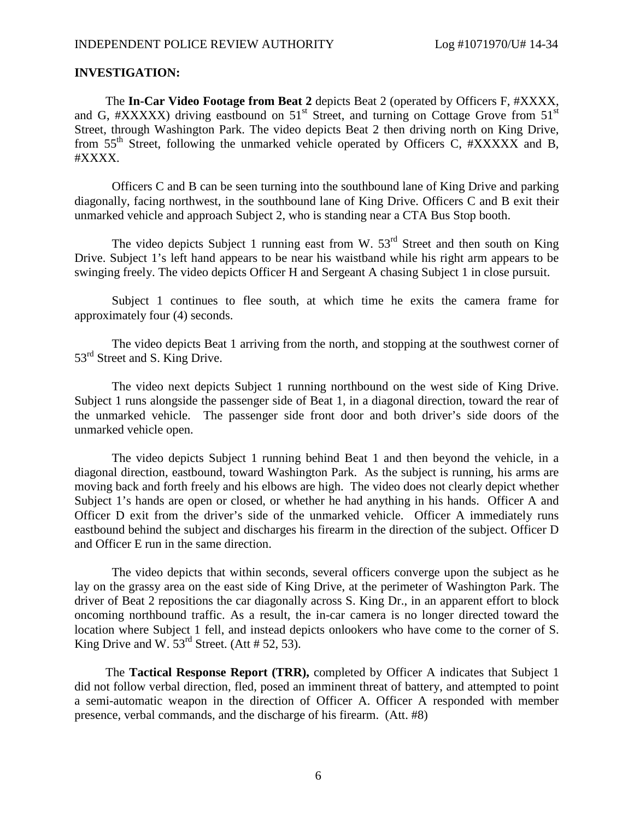#### **INVESTIGATION:**

The **In-Car Video Footage from Beat 2** depicts Beat 2 (operated by Officers F, #XXXX, and G,  $\#XXXX$ ) driving eastbound on  $51<sup>st</sup>$  Street, and turning on Cottage Grove from  $51<sup>st</sup>$ Street, through Washington Park. The video depicts Beat 2 then driving north on King Drive, from  $55<sup>th</sup>$  Street, following the unmarked vehicle operated by Officers C,  $\#XXXXX$  and B, #XXXX.

Officers C and B can be seen turning into the southbound lane of King Drive and parking diagonally, facing northwest, in the southbound lane of King Drive. Officers C and B exit their unmarked vehicle and approach Subject 2, who is standing near a CTA Bus Stop booth.

The video depicts Subject 1 running east from W.  $53<sup>rd</sup>$  Street and then south on King Drive. Subject 1's left hand appears to be near his waistband while his right arm appears to be swinging freely. The video depicts Officer H and Sergeant A chasing Subject 1 in close pursuit.

Subject 1 continues to flee south, at which time he exits the camera frame for approximately four (4) seconds.

The video depicts Beat 1 arriving from the north, and stopping at the southwest corner of 53<sup>rd</sup> Street and S. King Drive.

The video next depicts Subject 1 running northbound on the west side of King Drive. Subject 1 runs alongside the passenger side of Beat 1, in a diagonal direction, toward the rear of the unmarked vehicle. The passenger side front door and both driver's side doors of the unmarked vehicle open.

The video depicts Subject 1 running behind Beat 1 and then beyond the vehicle, in a diagonal direction, eastbound, toward Washington Park. As the subject is running, his arms are moving back and forth freely and his elbows are high. The video does not clearly depict whether Subject 1's hands are open or closed, or whether he had anything in his hands. Officer A and Officer D exit from the driver's side of the unmarked vehicle. Officer A immediately runs eastbound behind the subject and discharges his firearm in the direction of the subject. Officer D and Officer E run in the same direction.

The video depicts that within seconds, several officers converge upon the subject as he lay on the grassy area on the east side of King Drive, at the perimeter of Washington Park. The driver of Beat 2 repositions the car diagonally across S. King Dr., in an apparent effort to block oncoming northbound traffic. As a result, the in-car camera is no longer directed toward the location where Subject 1 fell, and instead depicts onlookers who have come to the corner of S. King Drive and W.  $53<sup>rd</sup>$  Street. (Att # 52, 53).

The **Tactical Response Report (TRR),** completed by Officer A indicates that Subject 1 did not follow verbal direction, fled, posed an imminent threat of battery, and attempted to point a semi-automatic weapon in the direction of Officer A. Officer A responded with member presence, verbal commands, and the discharge of his firearm. (Att. #8)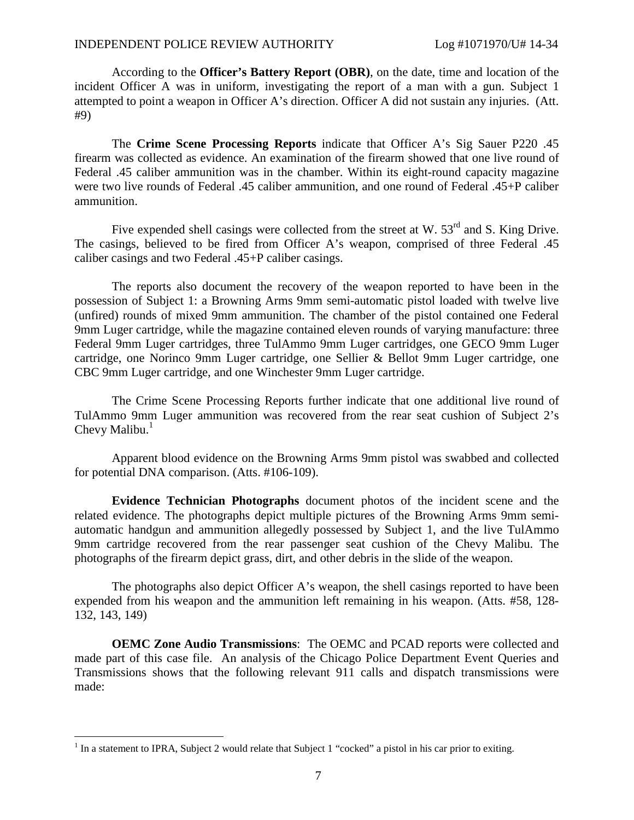According to the **Officer's Battery Report (OBR)**, on the date, time and location of the incident Officer A was in uniform, investigating the report of a man with a gun. Subject 1 attempted to point a weapon in Officer A's direction. Officer A did not sustain any injuries. (Att. #9)

The **Crime Scene Processing Reports** indicate that Officer A's Sig Sauer P220 .45 firearm was collected as evidence. An examination of the firearm showed that one live round of Federal .45 caliber ammunition was in the chamber. Within its eight-round capacity magazine were two live rounds of Federal .45 caliber ammunition, and one round of Federal .45+P caliber ammunition.

Five expended shell casings were collected from the street at W. 53<sup>rd</sup> and S. King Drive. The casings, believed to be fired from Officer A's weapon, comprised of three Federal .45 caliber casings and two Federal .45+P caliber casings.

The reports also document the recovery of the weapon reported to have been in the possession of Subject 1: a Browning Arms 9mm semi-automatic pistol loaded with twelve live (unfired) rounds of mixed 9mm ammunition. The chamber of the pistol contained one Federal 9mm Luger cartridge, while the magazine contained eleven rounds of varying manufacture: three Federal 9mm Luger cartridges, three TulAmmo 9mm Luger cartridges, one GECO 9mm Luger cartridge, one Norinco 9mm Luger cartridge, one Sellier & Bellot 9mm Luger cartridge, one CBC 9mm Luger cartridge, and one Winchester 9mm Luger cartridge.

The Crime Scene Processing Reports further indicate that one additional live round of TulAmmo 9mm Luger ammunition was recovered from the rear seat cushion of Subject 2's Chevy Malibu. $<sup>1</sup>$ </sup>

Apparent blood evidence on the Browning Arms 9mm pistol was swabbed and collected for potential DNA comparison. (Atts. #106-109).

**Evidence Technician Photographs** document photos of the incident scene and the related evidence. The photographs depict multiple pictures of the Browning Arms 9mm semiautomatic handgun and ammunition allegedly possessed by Subject 1, and the live TulAmmo 9mm cartridge recovered from the rear passenger seat cushion of the Chevy Malibu. The photographs of the firearm depict grass, dirt, and other debris in the slide of the weapon.

The photographs also depict Officer A's weapon, the shell casings reported to have been expended from his weapon and the ammunition left remaining in his weapon. (Atts. #58, 128- 132, 143, 149)

**OEMC Zone Audio Transmissions**: The OEMC and PCAD reports were collected and made part of this case file. An analysis of the Chicago Police Department Event Queries and Transmissions shows that the following relevant 911 calls and dispatch transmissions were made:

<sup>&</sup>lt;sup>1</sup> In a statement to IPRA, Subject 2 would relate that Subject 1 "cocked" a pistol in his car prior to exiting.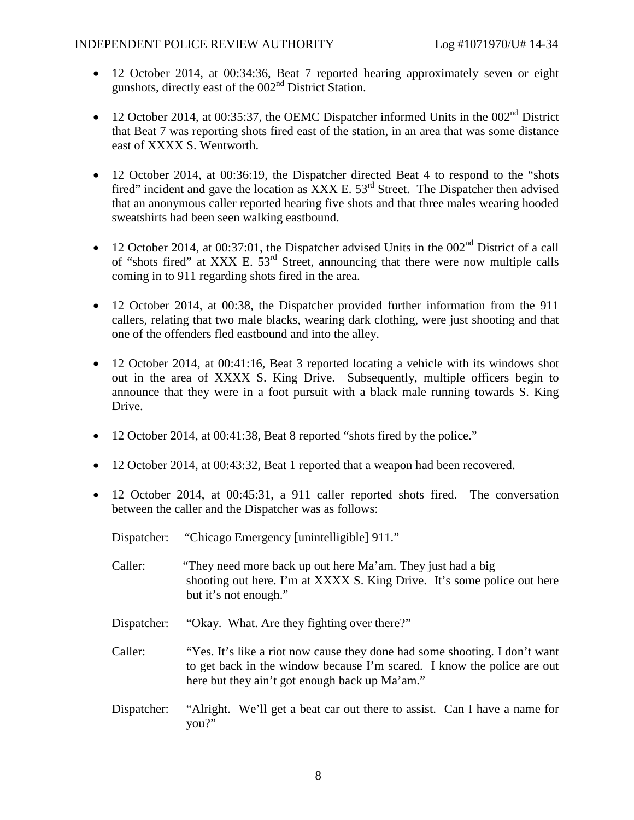- 12 October 2014, at 00:34:36, Beat 7 reported hearing approximately seven or eight gunshots, directly east of the 002nd District Station.
- $\bullet$  12 October 2014, at 00:35:37, the OEMC Dispatcher informed Units in the 002<sup>nd</sup> District that Beat 7 was reporting shots fired east of the station, in an area that was some distance east of XXXX S. Wentworth.
- 12 October 2014, at 00:36:19, the Dispatcher directed Beat 4 to respond to the "shots" fired" incident and gave the location as  $\overline{XXX}$  E.  $53<sup>rd</sup>$  Street. The Dispatcher then advised that an anonymous caller reported hearing five shots and that three males wearing hooded sweatshirts had been seen walking eastbound.
- $\bullet$  12 October 2014, at 00:37:01, the Dispatcher advised Units in the 002<sup>nd</sup> District of a call of "shots fired" at XXX E. 53rd Street, announcing that there were now multiple calls coming in to 911 regarding shots fired in the area.
- 12 October 2014, at 00:38, the Dispatcher provided further information from the 911 callers, relating that two male blacks, wearing dark clothing, were just shooting and that one of the offenders fled eastbound and into the alley.
- 12 October 2014, at 00:41:16, Beat 3 reported locating a vehicle with its windows shot out in the area of XXXX S. King Drive. Subsequently, multiple officers begin to announce that they were in a foot pursuit with a black male running towards S. King Drive.
- 12 October 2014, at 00:41:38, Beat 8 reported "shots fired by the police."
- 12 October 2014, at 00:43:32, Beat 1 reported that a weapon had been recovered.
- 12 October 2014, at 00:45:31, a 911 caller reported shots fired. The conversation between the caller and the Dispatcher was as follows:
	- Dispatcher: "Chicago Emergency [unintelligible] 911."
	- Caller: "They need more back up out here Ma'am. They just had a big shooting out here. I'm at XXXX S. King Drive. It's some police out here but it's not enough."
	- Dispatcher: "Okay. What. Are they fighting over there?"
	- Caller: "Yes. It's like a riot now cause they done had some shooting. I don't want to get back in the window because I'm scared. I know the police are out here but they ain't got enough back up Ma'am."
	- Dispatcher: "Alright. We'll get a beat car out there to assist. Can I have a name for you?"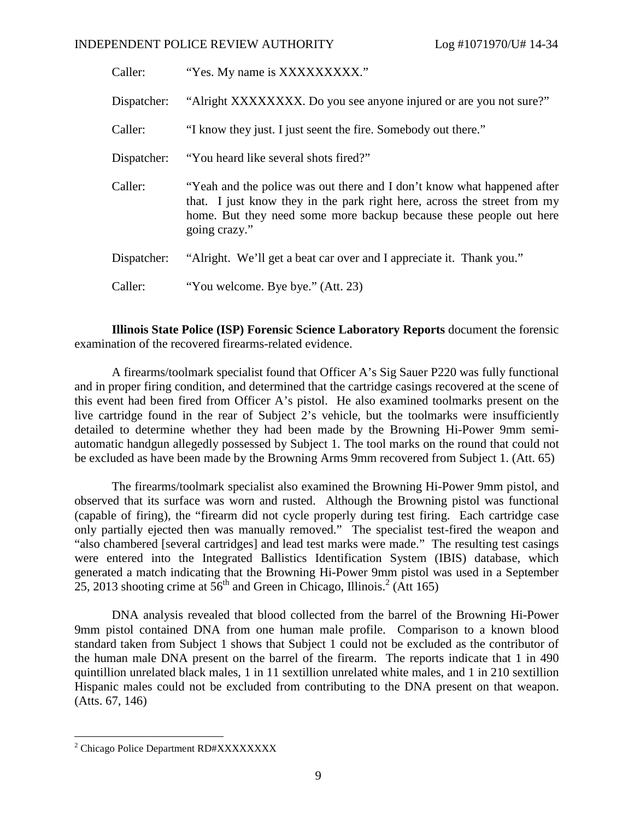Caller: "Yes. My name is XXXXXXXXX." Dispatcher: "Alright XXXXXXXX. Do you see anyone injured or are you not sure?" Caller: "I know they just. I just seent the fire. Somebody out there." Dispatcher: "You heard like several shots fired?" Caller: "Yeah and the police was out there and I don't know what happened after that. I just know they in the park right here, across the street from my home. But they need some more backup because these people out here going crazy." Dispatcher: "Alright. We'll get a beat car over and I appreciate it. Thank you." Caller: "You welcome. Bye bye." (Att. 23)

**Illinois State Police (ISP) Forensic Science Laboratory Reports** document the forensic examination of the recovered firearms-related evidence.

A firearms/toolmark specialist found that Officer A's Sig Sauer P220 was fully functional and in proper firing condition, and determined that the cartridge casings recovered at the scene of this event had been fired from Officer A's pistol. He also examined toolmarks present on the live cartridge found in the rear of Subject 2's vehicle, but the toolmarks were insufficiently detailed to determine whether they had been made by the Browning Hi-Power 9mm semiautomatic handgun allegedly possessed by Subject 1. The tool marks on the round that could not be excluded as have been made by the Browning Arms 9mm recovered from Subject 1. (Att. 65)

The firearms/toolmark specialist also examined the Browning Hi-Power 9mm pistol, and observed that its surface was worn and rusted. Although the Browning pistol was functional (capable of firing), the "firearm did not cycle properly during test firing. Each cartridge case only partially ejected then was manually removed." The specialist test-fired the weapon and "also chambered [several cartridges] and lead test marks were made." The resulting test casings were entered into the Integrated Ballistics Identification System (IBIS) database, which generated a match indicating that the Browning Hi-Power 9mm pistol was used in a September 25, 2013 shooting crime at  $56<sup>th</sup>$  and Green in Chicago, Illinois.<sup>2</sup> (Att 165)

DNA analysis revealed that blood collected from the barrel of the Browning Hi-Power 9mm pistol contained DNA from one human male profile. Comparison to a known blood standard taken from Subject 1 shows that Subject 1 could not be excluded as the contributor of the human male DNA present on the barrel of the firearm. The reports indicate that 1 in 490 quintillion unrelated black males, 1 in 11 sextillion unrelated white males, and 1 in 210 sextillion Hispanic males could not be excluded from contributing to the DNA present on that weapon. (Atts. 67, 146)

<sup>&</sup>lt;sup>2</sup> Chicago Police Department RD#XXXXXXXX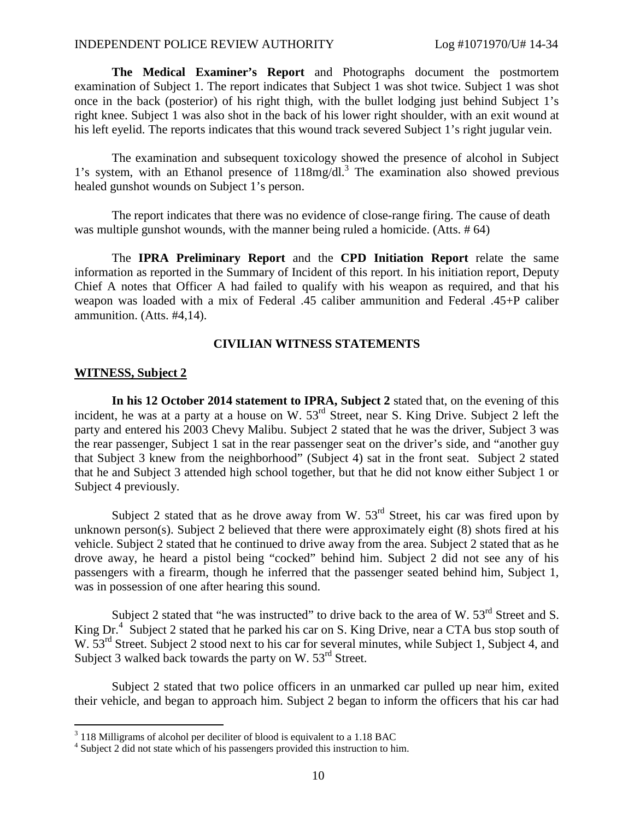**The Medical Examiner's Report** and Photographs document the postmortem examination of Subject 1. The report indicates that Subject 1 was shot twice. Subject 1 was shot once in the back (posterior) of his right thigh, with the bullet lodging just behind Subject 1's right knee. Subject 1 was also shot in the back of his lower right shoulder, with an exit wound at his left eyelid. The reports indicates that this wound track severed Subject 1's right jugular vein.

The examination and subsequent toxicology showed the presence of alcohol in Subject 1's system, with an Ethanol presence of 118mg/dl.<sup>3</sup> The examination also showed previous healed gunshot wounds on Subject 1's person.

The report indicates that there was no evidence of close-range firing. The cause of death was multiple gunshot wounds, with the manner being ruled a homicide. (Atts. # 64)

The **IPRA Preliminary Report** and the **CPD Initiation Report** relate the same information as reported in the Summary of Incident of this report. In his initiation report, Deputy Chief A notes that Officer A had failed to qualify with his weapon as required, and that his weapon was loaded with a mix of Federal .45 caliber ammunition and Federal .45+P caliber ammunition. (Atts. #4,14).

#### **CIVILIAN WITNESS STATEMENTS**

#### **WITNESS, Subject 2**

**In his 12 October 2014 statement to IPRA, Subject 2** stated that, on the evening of this incident, he was at a party at a house on W. 53<sup>rd</sup> Street, near S. King Drive. Subject 2 left the party and entered his 2003 Chevy Malibu. Subject 2 stated that he was the driver, Subject 3 was the rear passenger, Subject 1 sat in the rear passenger seat on the driver's side, and "another guy that Subject 3 knew from the neighborhood" (Subject 4) sat in the front seat. Subject 2 stated that he and Subject 3 attended high school together, but that he did not know either Subject 1 or Subject 4 previously.

Subject 2 stated that as he drove away from W.  $53<sup>rd</sup>$  Street, his car was fired upon by unknown person(s). Subject 2 believed that there were approximately eight (8) shots fired at his vehicle. Subject 2 stated that he continued to drive away from the area. Subject 2 stated that as he drove away, he heard a pistol being "cocked" behind him. Subject 2 did not see any of his passengers with a firearm, though he inferred that the passenger seated behind him, Subject 1, was in possession of one after hearing this sound.

Subject 2 stated that "he was instructed" to drive back to the area of W.  $53<sup>rd</sup>$  Street and S. King Dr.<sup>4</sup> Subject 2 stated that he parked his car on S. King Drive, near a CTA bus stop south of W. 53<sup>rd</sup> Street. Subject 2 stood next to his car for several minutes, while Subject 1, Subject 4, and Subject 3 walked back towards the party on W. 53<sup>rd</sup> Street.

Subject 2 stated that two police officers in an unmarked car pulled up near him, exited their vehicle, and began to approach him. Subject 2 began to inform the officers that his car had

 $3$  118 Milligrams of alcohol per deciliter of blood is equivalent to a 1.18 BAC

<sup>&</sup>lt;sup>4</sup> Subject 2 did not state which of his passengers provided this instruction to him.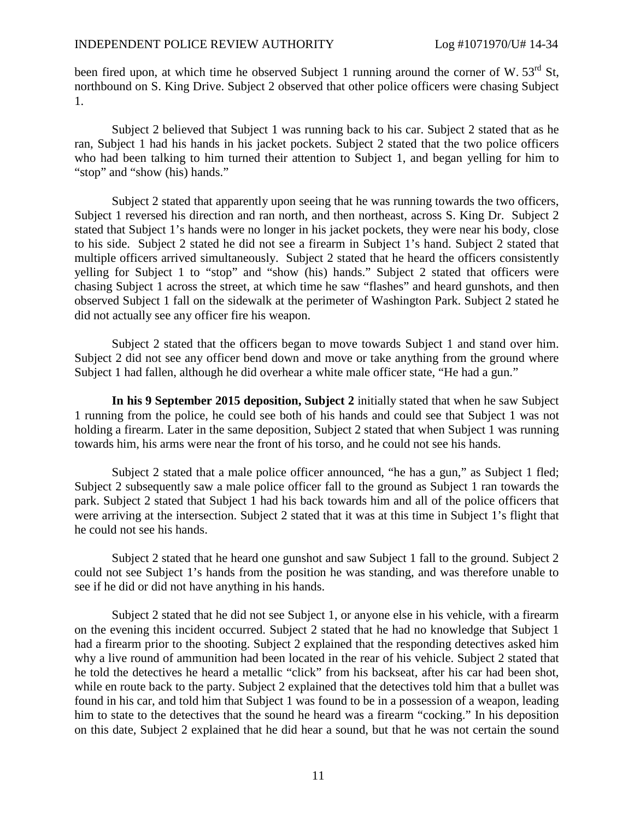been fired upon, at which time he observed Subject 1 running around the corner of W. 53<sup>rd</sup> St, northbound on S. King Drive. Subject 2 observed that other police officers were chasing Subject 1.

Subject 2 believed that Subject 1 was running back to his car. Subject 2 stated that as he ran, Subject 1 had his hands in his jacket pockets. Subject 2 stated that the two police officers who had been talking to him turned their attention to Subject 1, and began yelling for him to "stop" and "show (his) hands."

Subject 2 stated that apparently upon seeing that he was running towards the two officers, Subject 1 reversed his direction and ran north, and then northeast, across S. King Dr. Subject 2 stated that Subject 1's hands were no longer in his jacket pockets, they were near his body, close to his side. Subject 2 stated he did not see a firearm in Subject 1's hand. Subject 2 stated that multiple officers arrived simultaneously. Subject 2 stated that he heard the officers consistently yelling for Subject 1 to "stop" and "show (his) hands." Subject 2 stated that officers were chasing Subject 1 across the street, at which time he saw "flashes" and heard gunshots, and then observed Subject 1 fall on the sidewalk at the perimeter of Washington Park. Subject 2 stated he did not actually see any officer fire his weapon.

Subject 2 stated that the officers began to move towards Subject 1 and stand over him. Subject 2 did not see any officer bend down and move or take anything from the ground where Subject 1 had fallen, although he did overhear a white male officer state, "He had a gun."

**In his 9 September 2015 deposition, Subject 2** initially stated that when he saw Subject 1 running from the police, he could see both of his hands and could see that Subject 1 was not holding a firearm. Later in the same deposition, Subject 2 stated that when Subject 1 was running towards him, his arms were near the front of his torso, and he could not see his hands.

Subject 2 stated that a male police officer announced, "he has a gun," as Subject 1 fled; Subject 2 subsequently saw a male police officer fall to the ground as Subject 1 ran towards the park. Subject 2 stated that Subject 1 had his back towards him and all of the police officers that were arriving at the intersection. Subject 2 stated that it was at this time in Subject 1's flight that he could not see his hands.

Subject 2 stated that he heard one gunshot and saw Subject 1 fall to the ground. Subject 2 could not see Subject 1's hands from the position he was standing, and was therefore unable to see if he did or did not have anything in his hands.

Subject 2 stated that he did not see Subject 1, or anyone else in his vehicle, with a firearm on the evening this incident occurred. Subject 2 stated that he had no knowledge that Subject 1 had a firearm prior to the shooting. Subject 2 explained that the responding detectives asked him why a live round of ammunition had been located in the rear of his vehicle. Subject 2 stated that he told the detectives he heard a metallic "click" from his backseat, after his car had been shot, while en route back to the party. Subject 2 explained that the detectives told him that a bullet was found in his car, and told him that Subject 1 was found to be in a possession of a weapon, leading him to state to the detectives that the sound he heard was a firearm "cocking." In his deposition on this date, Subject 2 explained that he did hear a sound, but that he was not certain the sound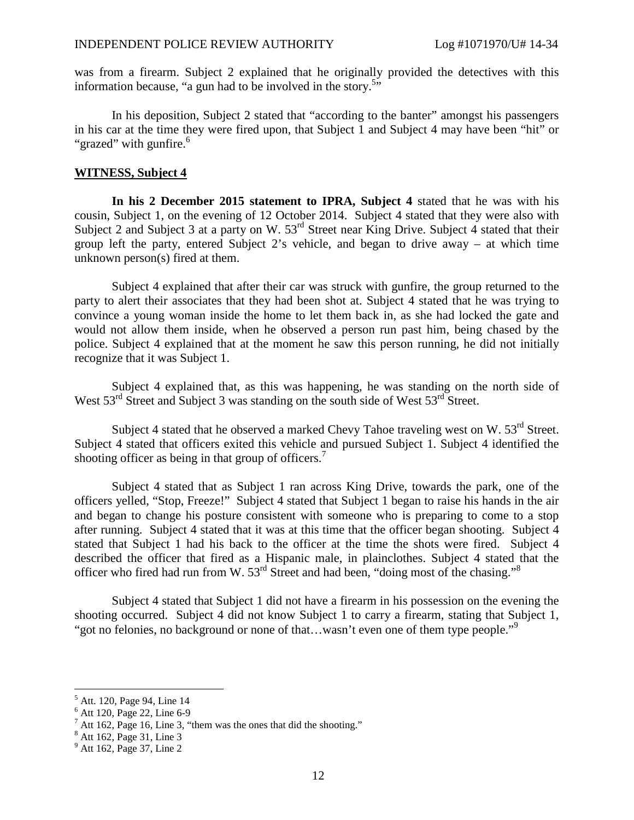was from a firearm. Subject 2 explained that he originally provided the detectives with this information because, "a gun had to be involved in the story.<sup>551</sup>

In his deposition, Subject 2 stated that "according to the banter" amongst his passengers in his car at the time they were fired upon, that Subject 1 and Subject 4 may have been "hit" or "grazed" with gunfire.<sup>6</sup>

#### **WITNESS, Subject 4**

**In his 2 December 2015 statement to IPRA, Subject 4** stated that he was with his cousin, Subject 1, on the evening of 12 October 2014. Subject 4 stated that they were also with Subject 2 and Subject 3 at a party on W. 53<sup>rd</sup> Street near King Drive. Subject 4 stated that their group left the party, entered Subject 2's vehicle, and began to drive away – at which time unknown person(s) fired at them.

Subject 4 explained that after their car was struck with gunfire, the group returned to the party to alert their associates that they had been shot at. Subject 4 stated that he was trying to convince a young woman inside the home to let them back in, as she had locked the gate and would not allow them inside, when he observed a person run past him, being chased by the police. Subject 4 explained that at the moment he saw this person running, he did not initially recognize that it was Subject 1.

Subject 4 explained that, as this was happening, he was standing on the north side of West 53<sup>rd</sup> Street and Subject 3 was standing on the south side of West 53<sup>rd</sup> Street.

Subject 4 stated that he observed a marked Chevy Tahoe traveling west on W.  $53<sup>rd</sup>$  Street. Subject 4 stated that officers exited this vehicle and pursued Subject 1. Subject 4 identified the shooting officer as being in that group of officers.<sup>7</sup>

Subject 4 stated that as Subject 1 ran across King Drive, towards the park, one of the officers yelled, "Stop, Freeze!" Subject 4 stated that Subject 1 began to raise his hands in the air and began to change his posture consistent with someone who is preparing to come to a stop after running. Subject 4 stated that it was at this time that the officer began shooting. Subject 4 stated that Subject 1 had his back to the officer at the time the shots were fired. Subject 4 described the officer that fired as a Hispanic male, in plainclothes. Subject 4 stated that the officer who fired had run from W. 53<sup>rd</sup> Street and had been, "doing most of the chasing."<sup>8</sup>

Subject 4 stated that Subject 1 did not have a firearm in his possession on the evening the shooting occurred. Subject 4 did not know Subject 1 to carry a firearm, stating that Subject 1, "got no felonies, no background or none of that...wasn't even one of them type people."

<sup>5</sup> Att. 120, Page 94, Line 14

<sup>6</sup> Att 120, Page 22, Line 6-9

 $<sup>7</sup>$  Att 162, Page 16, Line 3, "them was the ones that did the shooting."</sup>

<sup>8</sup> Att 162, Page 31, Line 3

<sup>&</sup>lt;sup>9</sup> Att 162, Page 37, Line 2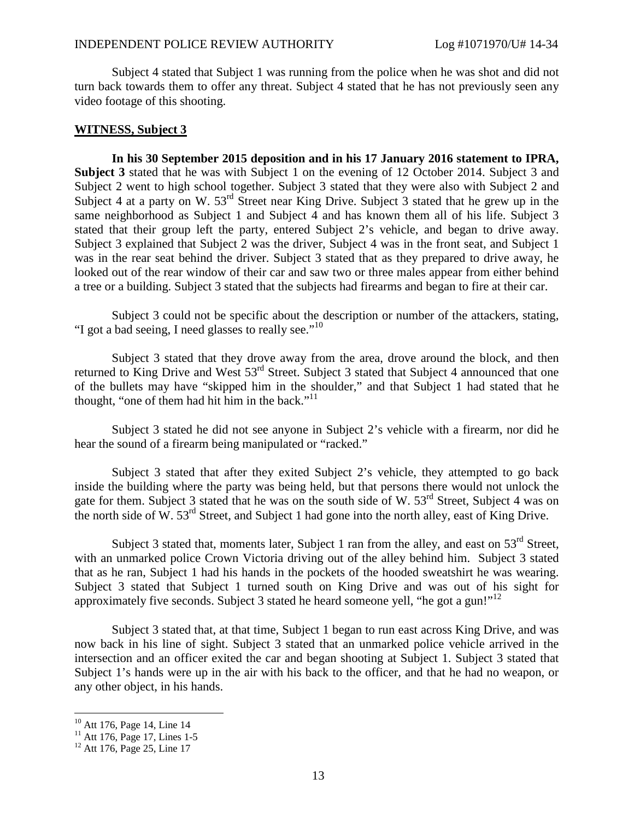Subject 4 stated that Subject 1 was running from the police when he was shot and did not turn back towards them to offer any threat. Subject 4 stated that he has not previously seen any video footage of this shooting.

#### **WITNESS, Subject 3**

**In his 30 September 2015 deposition and in his 17 January 2016 statement to IPRA, Subject 3** stated that he was with Subject 1 on the evening of 12 October 2014. Subject 3 and Subject 2 went to high school together. Subject 3 stated that they were also with Subject 2 and Subject 4 at a party on W.  $53<sup>rd</sup>$  Street near King Drive. Subject 3 stated that he grew up in the same neighborhood as Subject 1 and Subject 4 and has known them all of his life. Subject 3 stated that their group left the party, entered Subject 2's vehicle, and began to drive away. Subject 3 explained that Subject 2 was the driver, Subject 4 was in the front seat, and Subject 1 was in the rear seat behind the driver. Subject 3 stated that as they prepared to drive away, he looked out of the rear window of their car and saw two or three males appear from either behind a tree or a building. Subject 3 stated that the subjects had firearms and began to fire at their car.

Subject 3 could not be specific about the description or number of the attackers, stating, "I got a bad seeing, I need glasses to really see."<sup>10</sup>

Subject 3 stated that they drove away from the area, drove around the block, and then returned to King Drive and West 53rd Street. Subject 3 stated that Subject 4 announced that one of the bullets may have "skipped him in the shoulder," and that Subject 1 had stated that he thought, "one of them had hit him in the back."<sup>11</sup>

Subject 3 stated he did not see anyone in Subject 2's vehicle with a firearm, nor did he hear the sound of a firearm being manipulated or "racked."

Subject 3 stated that after they exited Subject 2's vehicle, they attempted to go back inside the building where the party was being held, but that persons there would not unlock the gate for them. Subject 3 stated that he was on the south side of W. 53<sup>rd</sup> Street, Subject 4 was on the north side of W.  $53<sup>rd</sup>$  Street, and Subject 1 had gone into the north alley, east of King Drive.

Subject 3 stated that, moments later, Subject 1 ran from the alley, and east on  $53<sup>rd</sup>$  Street, with an unmarked police Crown Victoria driving out of the alley behind him. Subject 3 stated that as he ran, Subject 1 had his hands in the pockets of the hooded sweatshirt he was wearing. Subject 3 stated that Subject 1 turned south on King Drive and was out of his sight for approximately five seconds. Subject 3 stated he heard someone yell, "he got a gun!"<sup>12</sup>

Subject 3 stated that, at that time, Subject 1 began to run east across King Drive, and was now back in his line of sight. Subject 3 stated that an unmarked police vehicle arrived in the intersection and an officer exited the car and began shooting at Subject 1. Subject 3 stated that Subject 1's hands were up in the air with his back to the officer, and that he had no weapon, or any other object, in his hands.

<sup>&</sup>lt;sup>10</sup> Att 176, Page 14, Line 14

<sup>&</sup>lt;sup>11</sup> Att 176, Page 17, Lines 1-5

<sup>&</sup>lt;sup>12</sup> Att 176, Page 25, Line 17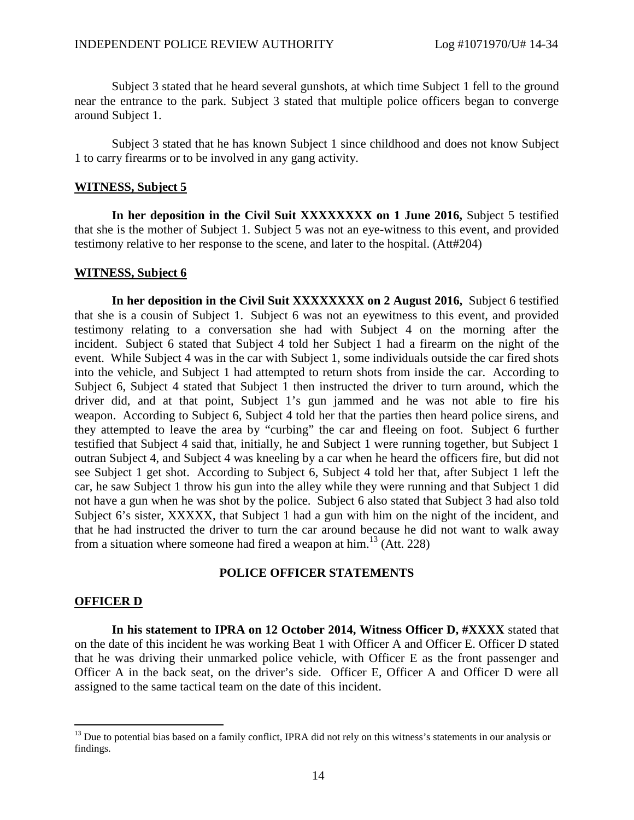Subject 3 stated that he heard several gunshots, at which time Subject 1 fell to the ground near the entrance to the park. Subject 3 stated that multiple police officers began to converge around Subject 1.

Subject 3 stated that he has known Subject 1 since childhood and does not know Subject 1 to carry firearms or to be involved in any gang activity.

#### **WITNESS, Subject 5**

**In her deposition in the Civil Suit XXXXXXXX on 1 June 2016,** Subject 5 testified that she is the mother of Subject 1. Subject 5 was not an eye-witness to this event, and provided testimony relative to her response to the scene, and later to the hospital. (Att#204)

#### **WITNESS, Subject 6**

**In her deposition in the Civil Suit XXXXXXXX on 2 August 2016,** Subject 6 testified that she is a cousin of Subject 1. Subject 6 was not an eyewitness to this event, and provided testimony relating to a conversation she had with Subject 4 on the morning after the incident. Subject 6 stated that Subject 4 told her Subject 1 had a firearm on the night of the event. While Subject 4 was in the car with Subject 1, some individuals outside the car fired shots into the vehicle, and Subject 1 had attempted to return shots from inside the car. According to Subject 6, Subject 4 stated that Subject 1 then instructed the driver to turn around, which the driver did, and at that point, Subject 1's gun jammed and he was not able to fire his weapon. According to Subject 6, Subject 4 told her that the parties then heard police sirens, and they attempted to leave the area by "curbing" the car and fleeing on foot. Subject 6 further testified that Subject 4 said that, initially, he and Subject 1 were running together, but Subject 1 outran Subject 4, and Subject 4 was kneeling by a car when he heard the officers fire, but did not see Subject 1 get shot. According to Subject 6, Subject 4 told her that, after Subject 1 left the car, he saw Subject 1 throw his gun into the alley while they were running and that Subject 1 did not have a gun when he was shot by the police. Subject 6 also stated that Subject 3 had also told Subject 6's sister, XXXXX, that Subject 1 had a gun with him on the night of the incident, and that he had instructed the driver to turn the car around because he did not want to walk away from a situation where someone had fired a weapon at him.<sup>13</sup> (Att. 228)

#### **POLICE OFFICER STATEMENTS**

#### **OFFICER D**

**In his statement to IPRA on 12 October 2014, Witness Officer D, #XXXX** stated that on the date of this incident he was working Beat 1 with Officer A and Officer E. Officer D stated that he was driving their unmarked police vehicle, with Officer E as the front passenger and Officer A in the back seat, on the driver's side. Officer E, Officer A and Officer D were all assigned to the same tactical team on the date of this incident.

 $13$  Due to potential bias based on a family conflict, IPRA did not rely on this witness's statements in our analysis or findings.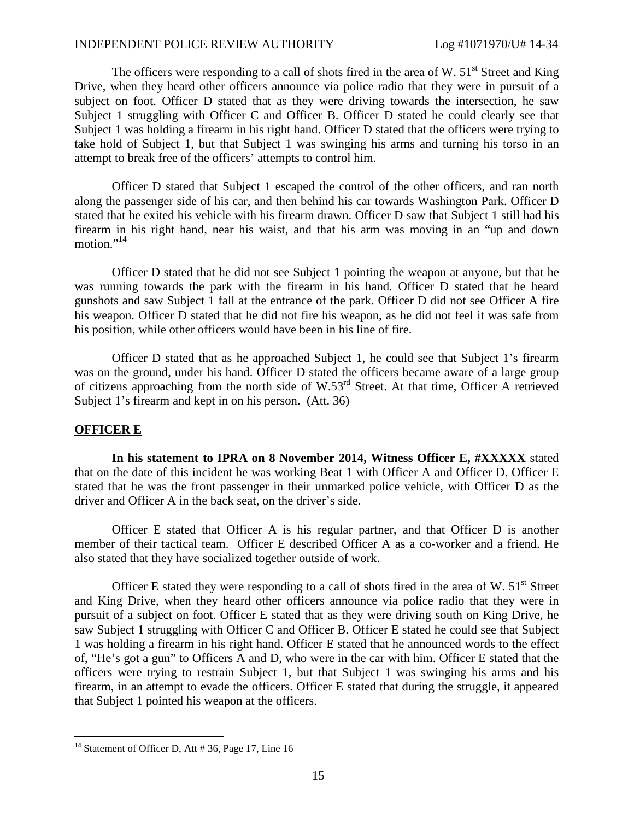The officers were responding to a call of shots fired in the area of W.  $51<sup>st</sup>$  Street and King Drive, when they heard other officers announce via police radio that they were in pursuit of a subject on foot. Officer D stated that as they were driving towards the intersection, he saw Subject 1 struggling with Officer C and Officer B. Officer D stated he could clearly see that Subject 1 was holding a firearm in his right hand. Officer D stated that the officers were trying to take hold of Subject 1, but that Subject 1 was swinging his arms and turning his torso in an attempt to break free of the officers' attempts to control him.

Officer D stated that Subject 1 escaped the control of the other officers, and ran north along the passenger side of his car, and then behind his car towards Washington Park. Officer D stated that he exited his vehicle with his firearm drawn. Officer D saw that Subject 1 still had his firearm in his right hand, near his waist, and that his arm was moving in an "up and down motion."<sup>14</sup>

Officer D stated that he did not see Subject 1 pointing the weapon at anyone, but that he was running towards the park with the firearm in his hand. Officer D stated that he heard gunshots and saw Subject 1 fall at the entrance of the park. Officer D did not see Officer A fire his weapon. Officer D stated that he did not fire his weapon, as he did not feel it was safe from his position, while other officers would have been in his line of fire.

Officer D stated that as he approached Subject 1, he could see that Subject 1's firearm was on the ground, under his hand. Officer D stated the officers became aware of a large group of citizens approaching from the north side of W.53rd Street. At that time, Officer A retrieved Subject 1's firearm and kept in on his person. (Att. 36)

#### **OFFICER E**

**In his statement to IPRA on 8 November 2014, Witness Officer E, #XXXXX** stated that on the date of this incident he was working Beat 1 with Officer A and Officer D. Officer E stated that he was the front passenger in their unmarked police vehicle, with Officer D as the driver and Officer A in the back seat, on the driver's side.

Officer E stated that Officer A is his regular partner, and that Officer D is another member of their tactical team. Officer E described Officer A as a co-worker and a friend. He also stated that they have socialized together outside of work.

Officer E stated they were responding to a call of shots fired in the area of W.  $51<sup>st</sup>$  Street and King Drive, when they heard other officers announce via police radio that they were in pursuit of a subject on foot. Officer E stated that as they were driving south on King Drive, he saw Subject 1 struggling with Officer C and Officer B. Officer E stated he could see that Subject 1 was holding a firearm in his right hand. Officer E stated that he announced words to the effect of, "He's got a gun" to Officers A and D, who were in the car with him. Officer E stated that the officers were trying to restrain Subject 1, but that Subject 1 was swinging his arms and his firearm, in an attempt to evade the officers. Officer E stated that during the struggle, it appeared that Subject 1 pointed his weapon at the officers.

<sup>&</sup>lt;sup>14</sup> Statement of Officer D, Att  $# 36$ , Page 17, Line 16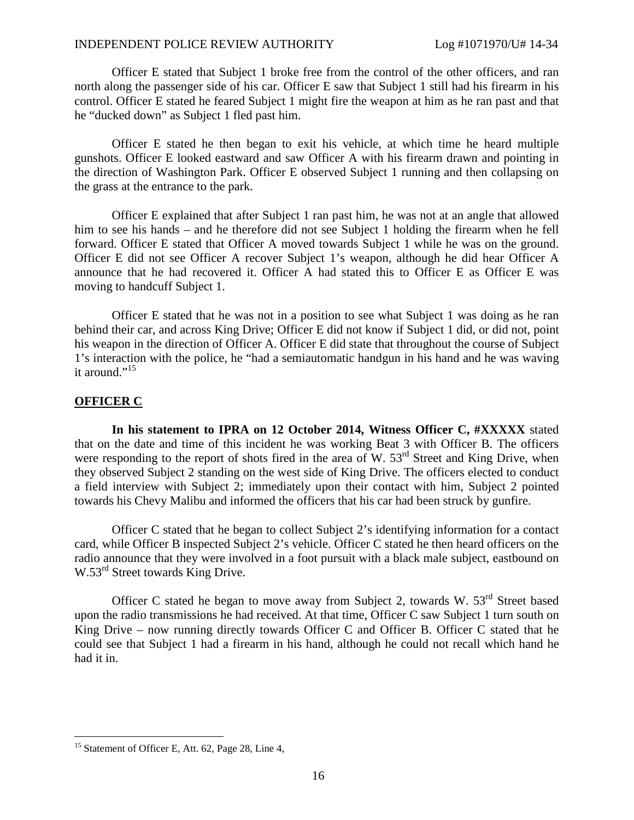Officer E stated that Subject 1 broke free from the control of the other officers, and ran north along the passenger side of his car. Officer E saw that Subject 1 still had his firearm in his control. Officer E stated he feared Subject 1 might fire the weapon at him as he ran past and that he "ducked down" as Subject 1 fled past him.

Officer E stated he then began to exit his vehicle, at which time he heard multiple gunshots. Officer E looked eastward and saw Officer A with his firearm drawn and pointing in the direction of Washington Park. Officer E observed Subject 1 running and then collapsing on the grass at the entrance to the park.

Officer E explained that after Subject 1 ran past him, he was not at an angle that allowed him to see his hands – and he therefore did not see Subject 1 holding the firearm when he fell forward. Officer E stated that Officer A moved towards Subject 1 while he was on the ground. Officer E did not see Officer A recover Subject 1's weapon, although he did hear Officer A announce that he had recovered it. Officer A had stated this to Officer E as Officer E was moving to handcuff Subject 1.

Officer E stated that he was not in a position to see what Subject 1 was doing as he ran behind their car, and across King Drive; Officer E did not know if Subject 1 did, or did not, point his weapon in the direction of Officer A. Officer E did state that throughout the course of Subject 1's interaction with the police, he "had a semiautomatic handgun in his hand and he was waving it around."<sup>15</sup>

#### **OFFICER C**

**In his statement to IPRA on 12 October 2014, Witness Officer C, #XXXXX** stated that on the date and time of this incident he was working Beat 3 with Officer B. The officers were responding to the report of shots fired in the area of W. 53<sup>rd</sup> Street and King Drive, when they observed Subject 2 standing on the west side of King Drive. The officers elected to conduct a field interview with Subject 2; immediately upon their contact with him, Subject 2 pointed towards his Chevy Malibu and informed the officers that his car had been struck by gunfire.

Officer C stated that he began to collect Subject 2's identifying information for a contact card, while Officer B inspected Subject 2's vehicle. Officer C stated he then heard officers on the radio announce that they were involved in a foot pursuit with a black male subject, eastbound on W.53<sup>rd</sup> Street towards King Drive.

Officer C stated he began to move away from Subject 2, towards W. 53<sup>rd</sup> Street based upon the radio transmissions he had received. At that time, Officer C saw Subject 1 turn south on King Drive – now running directly towards Officer C and Officer B. Officer C stated that he could see that Subject 1 had a firearm in his hand, although he could not recall which hand he had it in.

<sup>&</sup>lt;sup>15</sup> Statement of Officer E, Att. 62, Page 28, Line 4,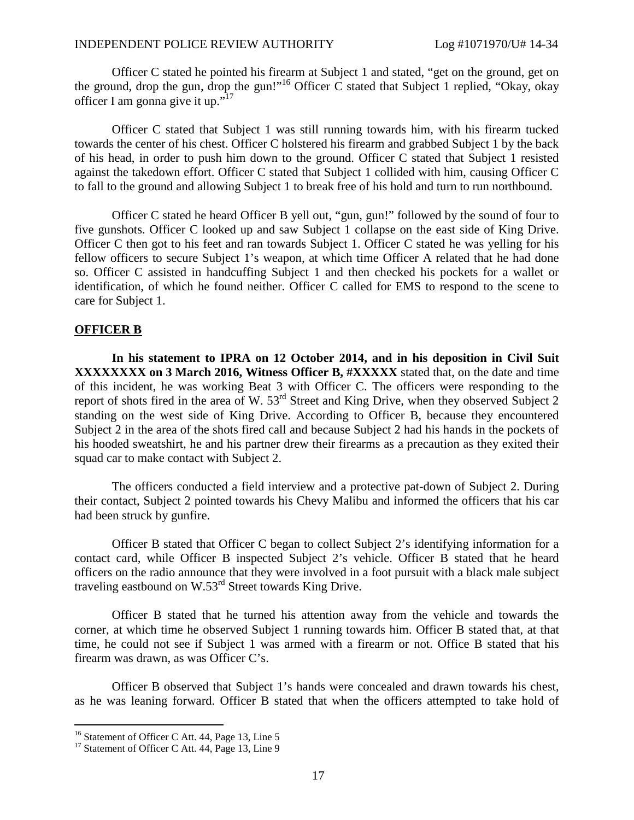Officer C stated he pointed his firearm at Subject 1 and stated, "get on the ground, get on the ground, drop the gun, drop the gun!"<sup>16</sup> Officer C stated that Subject 1 replied, "Okay, okay officer I am gonna give it up." $17$ 

Officer C stated that Subject 1 was still running towards him, with his firearm tucked towards the center of his chest. Officer C holstered his firearm and grabbed Subject 1 by the back of his head, in order to push him down to the ground. Officer C stated that Subject 1 resisted against the takedown effort. Officer C stated that Subject 1 collided with him, causing Officer C to fall to the ground and allowing Subject 1 to break free of his hold and turn to run northbound.

Officer C stated he heard Officer B yell out, "gun, gun!" followed by the sound of four to five gunshots. Officer C looked up and saw Subject 1 collapse on the east side of King Drive. Officer C then got to his feet and ran towards Subject 1. Officer C stated he was yelling for his fellow officers to secure Subject 1's weapon, at which time Officer A related that he had done so. Officer C assisted in handcuffing Subject 1 and then checked his pockets for a wallet or identification, of which he found neither. Officer C called for EMS to respond to the scene to care for Subject 1.

#### **OFFICER B**

**In his statement to IPRA on 12 October 2014, and in his deposition in Civil Suit XXXXXXXX on 3 March 2016, Witness Officer B, #XXXXX** stated that, on the date and time of this incident, he was working Beat 3 with Officer C. The officers were responding to the report of shots fired in the area of W. 53rd Street and King Drive, when they observed Subject 2 standing on the west side of King Drive. According to Officer B, because they encountered Subject 2 in the area of the shots fired call and because Subject 2 had his hands in the pockets of his hooded sweatshirt, he and his partner drew their firearms as a precaution as they exited their squad car to make contact with Subject 2.

The officers conducted a field interview and a protective pat-down of Subject 2. During their contact, Subject 2 pointed towards his Chevy Malibu and informed the officers that his car had been struck by gunfire.

Officer B stated that Officer C began to collect Subject 2's identifying information for a contact card, while Officer B inspected Subject 2's vehicle. Officer B stated that he heard officers on the radio announce that they were involved in a foot pursuit with a black male subject traveling eastbound on W.53rd Street towards King Drive.

Officer B stated that he turned his attention away from the vehicle and towards the corner, at which time he observed Subject 1 running towards him. Officer B stated that, at that time, he could not see if Subject 1 was armed with a firearm or not. Office B stated that his firearm was drawn, as was Officer C's.

Officer B observed that Subject 1's hands were concealed and drawn towards his chest, as he was leaning forward. Officer B stated that when the officers attempted to take hold of

<sup>&</sup>lt;sup>16</sup> Statement of Officer C Att. 44, Page 13, Line 5

<sup>&</sup>lt;sup>17</sup> Statement of Officer C Att. 44, Page 13, Line 9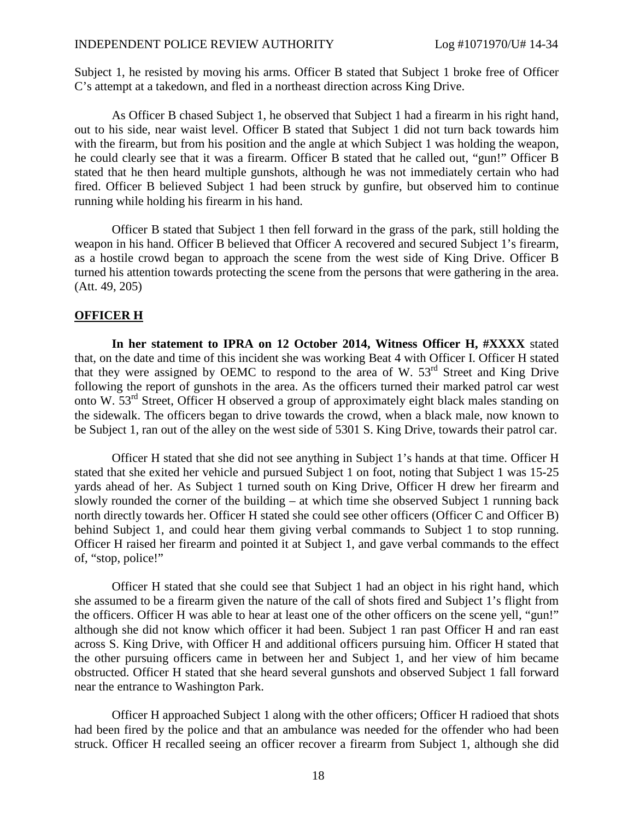Subject 1, he resisted by moving his arms. Officer B stated that Subject 1 broke free of Officer C's attempt at a takedown, and fled in a northeast direction across King Drive.

As Officer B chased Subject 1, he observed that Subject 1 had a firearm in his right hand, out to his side, near waist level. Officer B stated that Subject 1 did not turn back towards him with the firearm, but from his position and the angle at which Subject 1 was holding the weapon, he could clearly see that it was a firearm. Officer B stated that he called out, "gun!" Officer B stated that he then heard multiple gunshots, although he was not immediately certain who had fired. Officer B believed Subject 1 had been struck by gunfire, but observed him to continue running while holding his firearm in his hand.

Officer B stated that Subject 1 then fell forward in the grass of the park, still holding the weapon in his hand. Officer B believed that Officer A recovered and secured Subject 1's firearm, as a hostile crowd began to approach the scene from the west side of King Drive. Officer B turned his attention towards protecting the scene from the persons that were gathering in the area. (Att. 49, 205)

#### **OFFICER H**

**In her statement to IPRA on 12 October 2014, Witness Officer H, #XXXX** stated that, on the date and time of this incident she was working Beat 4 with Officer I. Officer H stated that they were assigned by OEMC to respond to the area of W. 53<sup>rd</sup> Street and King Drive following the report of gunshots in the area. As the officers turned their marked patrol car west onto W. 53rd Street, Officer H observed a group of approximately eight black males standing on the sidewalk. The officers began to drive towards the crowd, when a black male, now known to be Subject 1, ran out of the alley on the west side of 5301 S. King Drive, towards their patrol car.

Officer H stated that she did not see anything in Subject 1's hands at that time. Officer H stated that she exited her vehicle and pursued Subject 1 on foot, noting that Subject 1 was 15-25 yards ahead of her. As Subject 1 turned south on King Drive, Officer H drew her firearm and slowly rounded the corner of the building – at which time she observed Subject 1 running back north directly towards her. Officer H stated she could see other officers (Officer C and Officer B) behind Subject 1, and could hear them giving verbal commands to Subject 1 to stop running. Officer H raised her firearm and pointed it at Subject 1, and gave verbal commands to the effect of, "stop, police!"

Officer H stated that she could see that Subject 1 had an object in his right hand, which she assumed to be a firearm given the nature of the call of shots fired and Subject 1's flight from the officers. Officer H was able to hear at least one of the other officers on the scene yell, "gun!" although she did not know which officer it had been. Subject 1 ran past Officer H and ran east across S. King Drive, with Officer H and additional officers pursuing him. Officer H stated that the other pursuing officers came in between her and Subject 1, and her view of him became obstructed. Officer H stated that she heard several gunshots and observed Subject 1 fall forward near the entrance to Washington Park.

Officer H approached Subject 1 along with the other officers; Officer H radioed that shots had been fired by the police and that an ambulance was needed for the offender who had been struck. Officer H recalled seeing an officer recover a firearm from Subject 1, although she did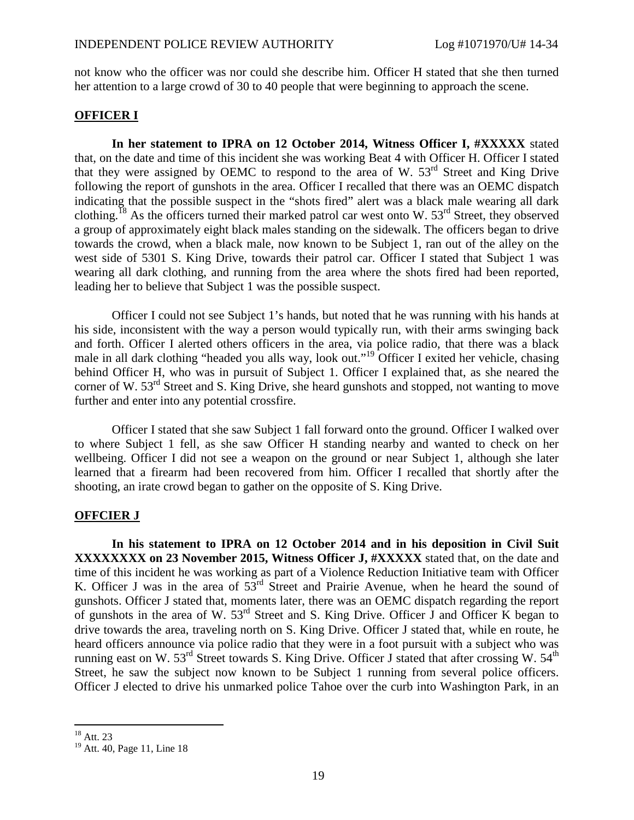not know who the officer was nor could she describe him. Officer H stated that she then turned her attention to a large crowd of 30 to 40 people that were beginning to approach the scene.

#### **OFFICER I**

**In her statement to IPRA on 12 October 2014, Witness Officer I, #XXXXX** stated that, on the date and time of this incident she was working Beat 4 with Officer H. Officer I stated that they were assigned by OEMC to respond to the area of W. 53<sup>rd</sup> Street and King Drive following the report of gunshots in the area. Officer I recalled that there was an OEMC dispatch indicating that the possible suspect in the "shots fired" alert was a black male wearing all dark clothing.<sup>18</sup> As the officers turned their marked patrol car west onto W.  $53<sup>rd</sup>$  Street, they observed a group of approximately eight black males standing on the sidewalk. The officers began to drive towards the crowd, when a black male, now known to be Subject 1, ran out of the alley on the west side of 5301 S. King Drive, towards their patrol car. Officer I stated that Subject 1 was wearing all dark clothing, and running from the area where the shots fired had been reported, leading her to believe that Subject 1 was the possible suspect.

Officer I could not see Subject 1's hands, but noted that he was running with his hands at his side, inconsistent with the way a person would typically run, with their arms swinging back and forth. Officer I alerted others officers in the area, via police radio, that there was a black male in all dark clothing "headed you alls way, look out."<sup>19</sup> Officer I exited her vehicle, chasing behind Officer H, who was in pursuit of Subject 1. Officer I explained that, as she neared the corner of W. 53<sup>rd</sup> Street and S. King Drive, she heard gunshots and stopped, not wanting to move further and enter into any potential crossfire.

Officer I stated that she saw Subject 1 fall forward onto the ground. Officer I walked over to where Subject 1 fell, as she saw Officer H standing nearby and wanted to check on her wellbeing. Officer I did not see a weapon on the ground or near Subject 1, although she later learned that a firearm had been recovered from him. Officer I recalled that shortly after the shooting, an irate crowd began to gather on the opposite of S. King Drive.

#### **OFFCIER J**

**In his statement to IPRA on 12 October 2014 and in his deposition in Civil Suit XXXXXXXX on 23 November 2015, Witness Officer J, #XXXXX** stated that, on the date and time of this incident he was working as part of a Violence Reduction Initiative team with Officer K. Officer J was in the area of  $53<sup>rd</sup>$  Street and Prairie Avenue, when he heard the sound of gunshots. Officer J stated that, moments later, there was an OEMC dispatch regarding the report of gunshots in the area of W.  $53<sup>rd</sup>$  Street and S. King Drive. Officer J and Officer K began to drive towards the area, traveling north on S. King Drive. Officer J stated that, while en route, he heard officers announce via police radio that they were in a foot pursuit with a subject who was running east on W.  $53<sup>rd</sup>$  Street towards S. King Drive. Officer J stated that after crossing W.  $54<sup>th</sup>$ Street, he saw the subject now known to be Subject 1 running from several police officers. Officer J elected to drive his unmarked police Tahoe over the curb into Washington Park, in an

<sup>&</sup>lt;sup>18</sup> Att. 23

<sup>&</sup>lt;sup>19</sup> Att. 40, Page 11, Line 18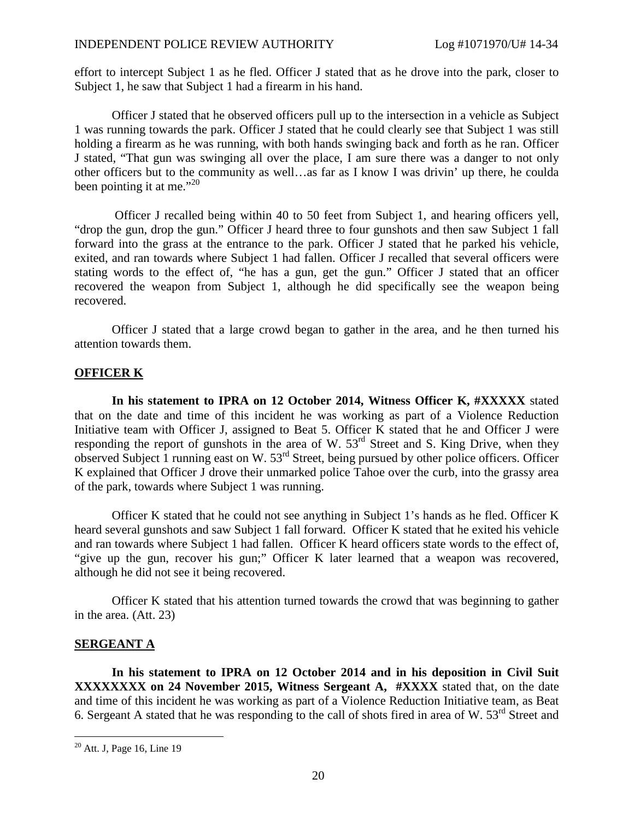effort to intercept Subject 1 as he fled. Officer J stated that as he drove into the park, closer to Subject 1, he saw that Subject 1 had a firearm in his hand.

Officer J stated that he observed officers pull up to the intersection in a vehicle as Subject 1 was running towards the park. Officer J stated that he could clearly see that Subject 1 was still holding a firearm as he was running, with both hands swinging back and forth as he ran. Officer J stated, "That gun was swinging all over the place, I am sure there was a danger to not only other officers but to the community as well…as far as I know I was drivin' up there, he coulda been pointing it at me."<sup>20</sup>

Officer J recalled being within 40 to 50 feet from Subject 1, and hearing officers yell, "drop the gun, drop the gun." Officer J heard three to four gunshots and then saw Subject 1 fall forward into the grass at the entrance to the park. Officer J stated that he parked his vehicle, exited, and ran towards where Subject 1 had fallen. Officer J recalled that several officers were stating words to the effect of, "he has a gun, get the gun." Officer J stated that an officer recovered the weapon from Subject 1, although he did specifically see the weapon being recovered.

Officer J stated that a large crowd began to gather in the area, and he then turned his attention towards them.

#### **OFFICER K**

**In his statement to IPRA on 12 October 2014, Witness Officer K, #XXXXX** stated that on the date and time of this incident he was working as part of a Violence Reduction Initiative team with Officer J, assigned to Beat 5. Officer K stated that he and Officer J were responding the report of gunshots in the area of W.  $53<sup>rd</sup>$  Street and S. King Drive, when they observed Subject 1 running east on W. 53rd Street, being pursued by other police officers. Officer K explained that Officer J drove their unmarked police Tahoe over the curb, into the grassy area of the park, towards where Subject 1 was running.

Officer K stated that he could not see anything in Subject 1's hands as he fled. Officer K heard several gunshots and saw Subject 1 fall forward. Officer K stated that he exited his vehicle and ran towards where Subject 1 had fallen. Officer K heard officers state words to the effect of, "give up the gun, recover his gun;" Officer K later learned that a weapon was recovered, although he did not see it being recovered.

Officer K stated that his attention turned towards the crowd that was beginning to gather in the area. (Att. 23)

#### **SERGEANT A**

**In his statement to IPRA on 12 October 2014 and in his deposition in Civil Suit XXXXXXXX on 24 November 2015, Witness Sergeant A, #XXXX** stated that, on the date and time of this incident he was working as part of a Violence Reduction Initiative team, as Beat 6. Sergeant A stated that he was responding to the call of shots fired in area of W. 53rd Street and

 $20$  Att. J, Page 16, Line 19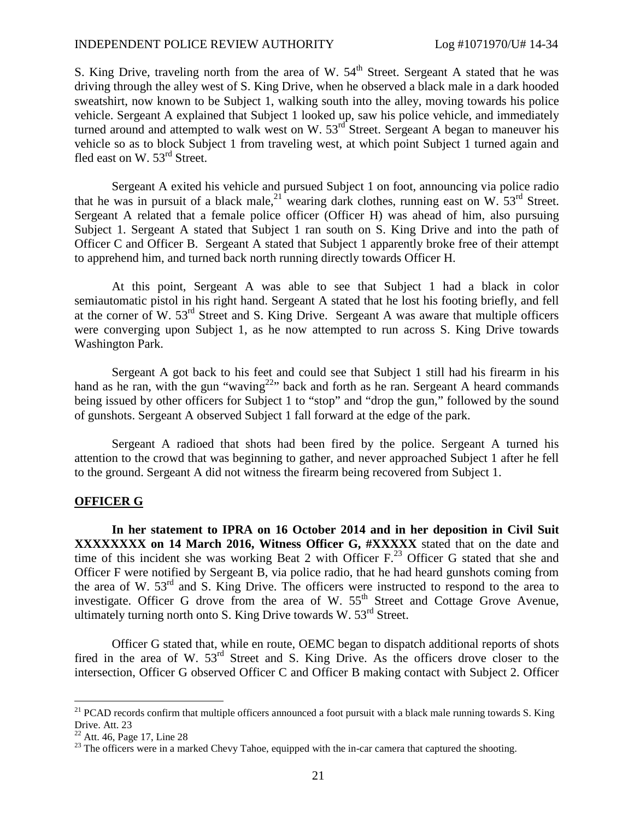S. King Drive, traveling north from the area of W.  $54<sup>th</sup>$  Street. Sergeant A stated that he was driving through the alley west of S. King Drive, when he observed a black male in a dark hooded sweatshirt, now known to be Subject 1, walking south into the alley, moving towards his police vehicle. Sergeant A explained that Subject 1 looked up, saw his police vehicle, and immediately turned around and attempted to walk west on W. 53<sup>rd</sup> Street. Sergeant A began to maneuver his vehicle so as to block Subject 1 from traveling west, at which point Subject 1 turned again and fled east on W.  $53<sup>rd</sup>$  Street.

Sergeant A exited his vehicle and pursued Subject 1 on foot, announcing via police radio that he was in pursuit of a black male,<sup>21</sup> wearing dark clothes, running east on W.  $53<sup>rd</sup>$  Street. Sergeant A related that a female police officer (Officer H) was ahead of him, also pursuing Subject 1. Sergeant A stated that Subject 1 ran south on S. King Drive and into the path of Officer C and Officer B. Sergeant A stated that Subject 1 apparently broke free of their attempt to apprehend him, and turned back north running directly towards Officer H.

At this point, Sergeant A was able to see that Subject 1 had a black in color semiautomatic pistol in his right hand. Sergeant A stated that he lost his footing briefly, and fell at the corner of W. 53rd Street and S. King Drive. Sergeant A was aware that multiple officers were converging upon Subject 1, as he now attempted to run across S. King Drive towards Washington Park.

Sergeant A got back to his feet and could see that Subject 1 still had his firearm in his hand as he ran, with the gun "waving<sup>22</sup>" back and forth as he ran. Sergeant A heard commands being issued by other officers for Subject 1 to "stop" and "drop the gun," followed by the sound of gunshots. Sergeant A observed Subject 1 fall forward at the edge of the park.

Sergeant A radioed that shots had been fired by the police. Sergeant A turned his attention to the crowd that was beginning to gather, and never approached Subject 1 after he fell to the ground. Sergeant A did not witness the firearm being recovered from Subject 1.

#### **OFFICER G**

**In her statement to IPRA on 16 October 2014 and in her deposition in Civil Suit XXXXXXXX on 14 March 2016, Witness Officer G, #XXXXX** stated that on the date and time of this incident she was working Beat 2 with Officer  $F<sup>23</sup>$  Officer G stated that she and Officer F were notified by Sergeant B, via police radio, that he had heard gunshots coming from the area of W.  $53<sup>rd</sup>$  and S. King Drive. The officers were instructed to respond to the area to investigate. Officer G drove from the area of W.  $55<sup>th</sup>$  Street and Cottage Grove Avenue, ultimately turning north onto S. King Drive towards W.  $53<sup>rd</sup>$  Street.

Officer G stated that, while en route, OEMC began to dispatch additional reports of shots fired in the area of W.  $53<sup>rd</sup>$  Street and S. King Drive. As the officers drove closer to the intersection, Officer G observed Officer C and Officer B making contact with Subject 2. Officer

 $21$  PCAD records confirm that multiple officers announced a foot pursuit with a black male running towards S. King Drive. Att. 23

 $22$  Att. 46, Page 17, Line 28

<sup>&</sup>lt;sup>23</sup> The officers were in a marked Chevy Tahoe, equipped with the in-car camera that captured the shooting.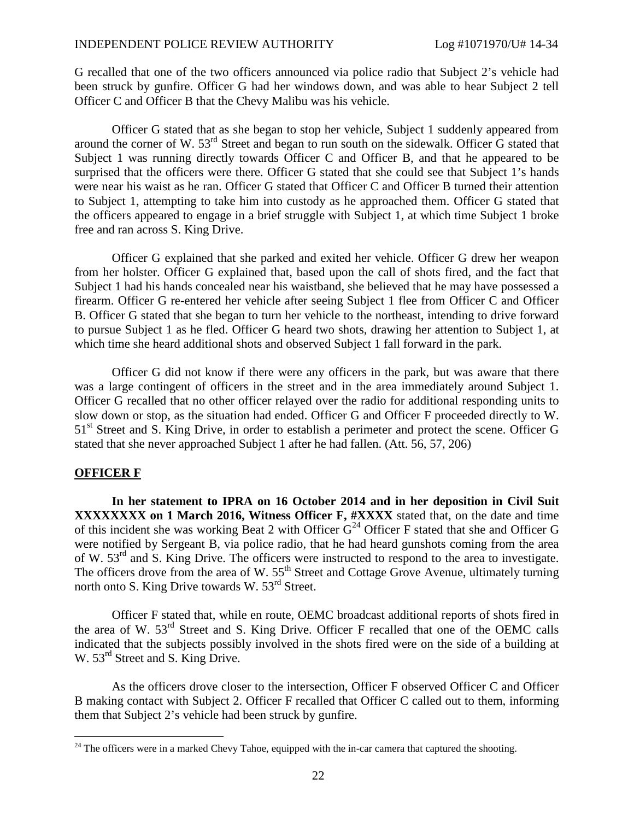G recalled that one of the two officers announced via police radio that Subject 2's vehicle had been struck by gunfire. Officer G had her windows down, and was able to hear Subject 2 tell Officer C and Officer B that the Chevy Malibu was his vehicle.

Officer G stated that as she began to stop her vehicle, Subject 1 suddenly appeared from around the corner of W. 53rd Street and began to run south on the sidewalk. Officer G stated that Subject 1 was running directly towards Officer C and Officer B, and that he appeared to be surprised that the officers were there. Officer G stated that she could see that Subject 1's hands were near his waist as he ran. Officer G stated that Officer C and Officer B turned their attention to Subject 1, attempting to take him into custody as he approached them. Officer G stated that the officers appeared to engage in a brief struggle with Subject 1, at which time Subject 1 broke free and ran across S. King Drive.

Officer G explained that she parked and exited her vehicle. Officer G drew her weapon from her holster. Officer G explained that, based upon the call of shots fired, and the fact that Subject 1 had his hands concealed near his waistband, she believed that he may have possessed a firearm. Officer G re-entered her vehicle after seeing Subject 1 flee from Officer C and Officer B. Officer G stated that she began to turn her vehicle to the northeast, intending to drive forward to pursue Subject 1 as he fled. Officer G heard two shots, drawing her attention to Subject 1, at which time she heard additional shots and observed Subject 1 fall forward in the park.

Officer G did not know if there were any officers in the park, but was aware that there was a large contingent of officers in the street and in the area immediately around Subject 1. Officer G recalled that no other officer relayed over the radio for additional responding units to slow down or stop, as the situation had ended. Officer G and Officer F proceeded directly to W. 51<sup>st</sup> Street and S. King Drive, in order to establish a perimeter and protect the scene. Officer G stated that she never approached Subject 1 after he had fallen. (Att. 56, 57, 206)

#### **OFFICER F**

**In her statement to IPRA on 16 October 2014 and in her deposition in Civil Suit XXXXXXXX on 1 March 2016, Witness Officer F, #XXXX** stated that, on the date and time of this incident she was working Beat 2 with Officer  $G<sup>24</sup>$  Officer F stated that she and Officer G were notified by Sergeant B, via police radio, that he had heard gunshots coming from the area of W. 53<sup>rd</sup> and S. King Drive. The officers were instructed to respond to the area to investigate. The officers drove from the area of W.  $55<sup>th</sup>$  Street and Cottage Grove Avenue, ultimately turning north onto S. King Drive towards W. 53<sup>rd</sup> Street.

Officer F stated that, while en route, OEMC broadcast additional reports of shots fired in the area of W.  $53<sup>rd</sup>$  Street and S. King Drive. Officer F recalled that one of the OEMC calls indicated that the subjects possibly involved in the shots fired were on the side of a building at W. 53<sup>rd</sup> Street and S. King Drive.

As the officers drove closer to the intersection, Officer F observed Officer C and Officer B making contact with Subject 2. Officer F recalled that Officer C called out to them, informing them that Subject 2's vehicle had been struck by gunfire.

<sup>&</sup>lt;sup>24</sup> The officers were in a marked Chevy Tahoe, equipped with the in-car camera that captured the shooting.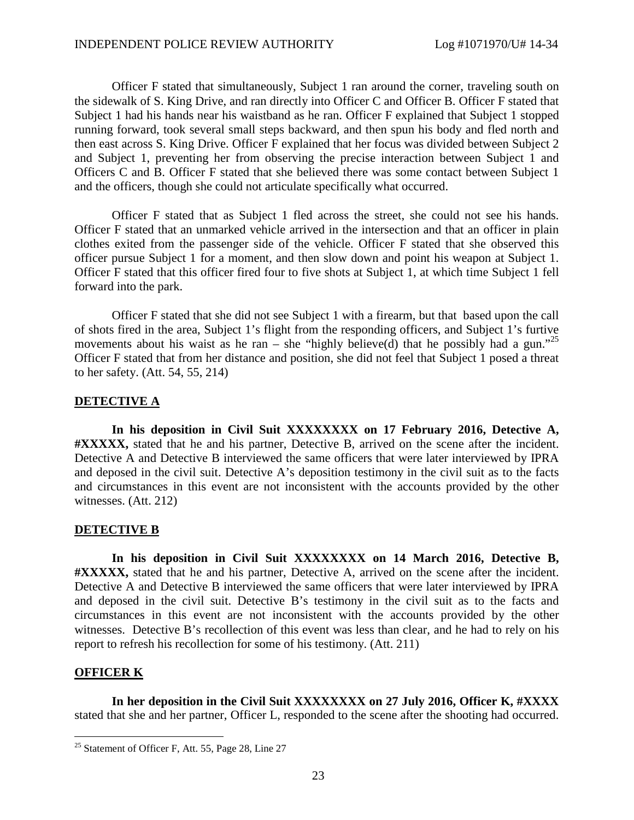Officer F stated that simultaneously, Subject 1 ran around the corner, traveling south on the sidewalk of S. King Drive, and ran directly into Officer C and Officer B. Officer F stated that Subject 1 had his hands near his waistband as he ran. Officer F explained that Subject 1 stopped running forward, took several small steps backward, and then spun his body and fled north and then east across S. King Drive. Officer F explained that her focus was divided between Subject 2 and Subject 1, preventing her from observing the precise interaction between Subject 1 and Officers C and B. Officer F stated that she believed there was some contact between Subject 1 and the officers, though she could not articulate specifically what occurred.

Officer F stated that as Subject 1 fled across the street, she could not see his hands. Officer F stated that an unmarked vehicle arrived in the intersection and that an officer in plain clothes exited from the passenger side of the vehicle. Officer F stated that she observed this officer pursue Subject 1 for a moment, and then slow down and point his weapon at Subject 1. Officer F stated that this officer fired four to five shots at Subject 1, at which time Subject 1 fell forward into the park.

Officer F stated that she did not see Subject 1 with a firearm, but that based upon the call of shots fired in the area, Subject 1's flight from the responding officers, and Subject 1's furtive movements about his waist as he ran – she "highly believe(d) that he possibly had a gun."<sup>25</sup> Officer F stated that from her distance and position, she did not feel that Subject 1 posed a threat to her safety. (Att. 54, 55, 214)

#### **DETECTIVE A**

**In his deposition in Civil Suit XXXXXXXX on 17 February 2016, Detective A, #XXXXX,** stated that he and his partner, Detective B, arrived on the scene after the incident. Detective A and Detective B interviewed the same officers that were later interviewed by IPRA and deposed in the civil suit. Detective A's deposition testimony in the civil suit as to the facts and circumstances in this event are not inconsistent with the accounts provided by the other witnesses. (Att. 212)

#### **DETECTIVE B**

**In his deposition in Civil Suit XXXXXXXX on 14 March 2016, Detective B, #XXXXX,** stated that he and his partner, Detective A, arrived on the scene after the incident. Detective A and Detective B interviewed the same officers that were later interviewed by IPRA and deposed in the civil suit. Detective B's testimony in the civil suit as to the facts and circumstances in this event are not inconsistent with the accounts provided by the other witnesses. Detective B's recollection of this event was less than clear, and he had to rely on his report to refresh his recollection for some of his testimony. (Att. 211)

#### **OFFICER K**

**In her deposition in the Civil Suit XXXXXXXX on 27 July 2016, Officer K, #XXXX** stated that she and her partner, Officer L, responded to the scene after the shooting had occurred.

 $25$  Statement of Officer F, Att. 55, Page 28, Line 27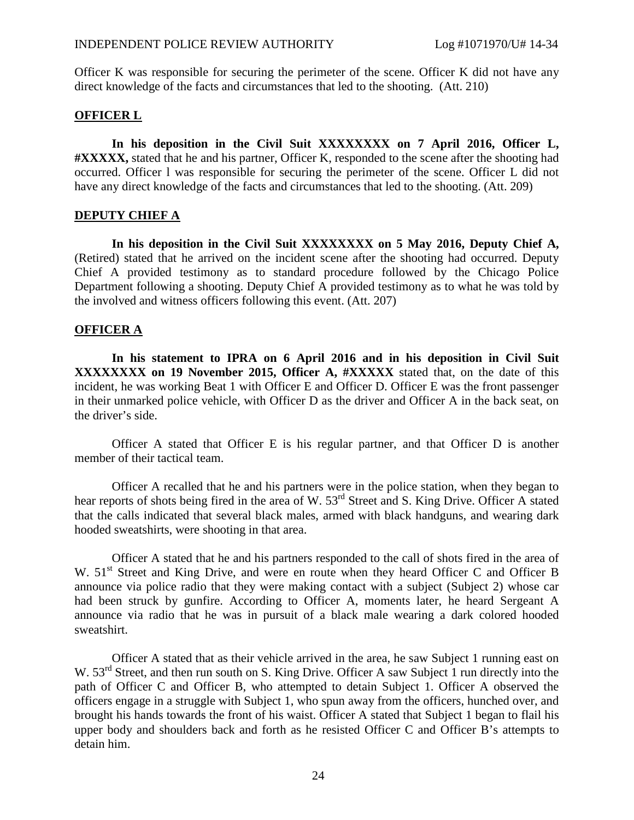Officer K was responsible for securing the perimeter of the scene. Officer K did not have any direct knowledge of the facts and circumstances that led to the shooting. (Att. 210)

#### **OFFICER L**

**In his deposition in the Civil Suit XXXXXXXX on 7 April 2016, Officer L, #XXXXX,** stated that he and his partner, Officer K, responded to the scene after the shooting had occurred. Officer l was responsible for securing the perimeter of the scene. Officer L did not have any direct knowledge of the facts and circumstances that led to the shooting. (Att. 209)

#### **DEPUTY CHIEF A**

**In his deposition in the Civil Suit XXXXXXXX on 5 May 2016, Deputy Chief A,** (Retired) stated that he arrived on the incident scene after the shooting had occurred. Deputy Chief A provided testimony as to standard procedure followed by the Chicago Police Department following a shooting. Deputy Chief A provided testimony as to what he was told by the involved and witness officers following this event. (Att. 207)

#### **OFFICER A**

**In his statement to IPRA on 6 April 2016 and in his deposition in Civil Suit XXXXXXXX on 19 November 2015, Officer A, #XXXXX** stated that, on the date of this incident, he was working Beat 1 with Officer E and Officer D. Officer E was the front passenger in their unmarked police vehicle, with Officer D as the driver and Officer A in the back seat, on the driver's side.

Officer A stated that Officer E is his regular partner, and that Officer D is another member of their tactical team.

Officer A recalled that he and his partners were in the police station, when they began to hear reports of shots being fired in the area of W. 53<sup>rd</sup> Street and S. King Drive. Officer A stated that the calls indicated that several black males, armed with black handguns, and wearing dark hooded sweatshirts, were shooting in that area.

Officer A stated that he and his partners responded to the call of shots fired in the area of W. 51<sup>st</sup> Street and King Drive, and were en route when they heard Officer C and Officer B announce via police radio that they were making contact with a subject (Subject 2) whose car had been struck by gunfire. According to Officer A, moments later, he heard Sergeant A announce via radio that he was in pursuit of a black male wearing a dark colored hooded sweatshirt.

Officer A stated that as their vehicle arrived in the area, he saw Subject 1 running east on W. 53<sup>rd</sup> Street, and then run south on S. King Drive. Officer A saw Subject 1 run directly into the path of Officer C and Officer B, who attempted to detain Subject 1. Officer A observed the officers engage in a struggle with Subject 1, who spun away from the officers, hunched over, and brought his hands towards the front of his waist. Officer A stated that Subject 1 began to flail his upper body and shoulders back and forth as he resisted Officer C and Officer B's attempts to detain him.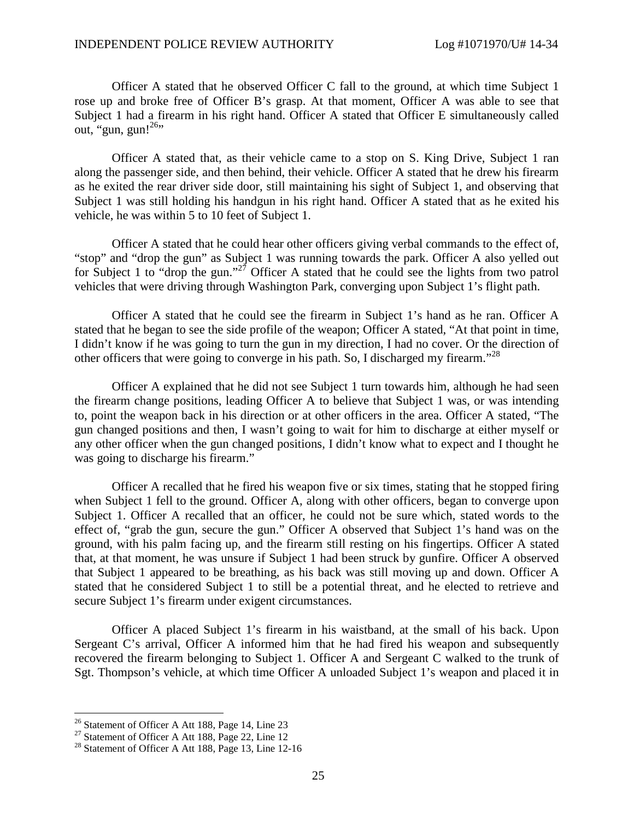Officer A stated that he observed Officer C fall to the ground, at which time Subject 1 rose up and broke free of Officer B's grasp. At that moment, Officer A was able to see that Subject 1 had a firearm in his right hand. Officer A stated that Officer E simultaneously called out, "gun, gun! $^{26}$ "

Officer A stated that, as their vehicle came to a stop on S. King Drive, Subject 1 ran along the passenger side, and then behind, their vehicle. Officer A stated that he drew his firearm as he exited the rear driver side door, still maintaining his sight of Subject 1, and observing that Subject 1 was still holding his handgun in his right hand. Officer A stated that as he exited his vehicle, he was within 5 to 10 feet of Subject 1.

Officer A stated that he could hear other officers giving verbal commands to the effect of, "stop" and "drop the gun" as Subject 1 was running towards the park. Officer A also yelled out for Subject 1 to "drop the gun."<sup>27</sup> Officer A stated that he could see the lights from two patrol vehicles that were driving through Washington Park, converging upon Subject 1's flight path.

Officer A stated that he could see the firearm in Subject 1's hand as he ran. Officer A stated that he began to see the side profile of the weapon; Officer A stated, "At that point in time, I didn't know if he was going to turn the gun in my direction, I had no cover. Or the direction of other officers that were going to converge in his path. So, I discharged my firearm."<sup>28</sup>

Officer A explained that he did not see Subject 1 turn towards him, although he had seen the firearm change positions, leading Officer A to believe that Subject 1 was, or was intending to, point the weapon back in his direction or at other officers in the area. Officer A stated, "The gun changed positions and then, I wasn't going to wait for him to discharge at either myself or any other officer when the gun changed positions, I didn't know what to expect and I thought he was going to discharge his firearm."

Officer A recalled that he fired his weapon five or six times, stating that he stopped firing when Subject 1 fell to the ground. Officer A, along with other officers, began to converge upon Subject 1. Officer A recalled that an officer, he could not be sure which, stated words to the effect of, "grab the gun, secure the gun." Officer A observed that Subject 1's hand was on the ground, with his palm facing up, and the firearm still resting on his fingertips. Officer A stated that, at that moment, he was unsure if Subject 1 had been struck by gunfire. Officer A observed that Subject 1 appeared to be breathing, as his back was still moving up and down. Officer A stated that he considered Subject 1 to still be a potential threat, and he elected to retrieve and secure Subject 1's firearm under exigent circumstances.

Officer A placed Subject 1's firearm in his waistband, at the small of his back. Upon Sergeant C's arrival, Officer A informed him that he had fired his weapon and subsequently recovered the firearm belonging to Subject 1. Officer A and Sergeant C walked to the trunk of Sgt. Thompson's vehicle, at which time Officer A unloaded Subject 1's weapon and placed it in

<sup>&</sup>lt;sup>26</sup> Statement of Officer A Att 188, Page 14, Line 23

<sup>&</sup>lt;sup>27</sup> Statement of Officer A Att 188, Page 22, Line 12

<sup>&</sup>lt;sup>28</sup> Statement of Officer A Att 188, Page 13, Line 12-16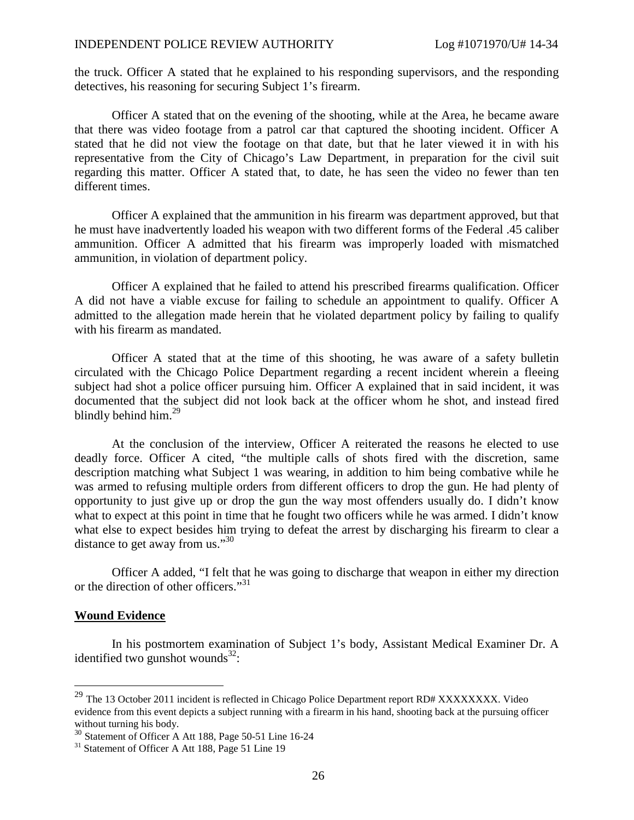the truck. Officer A stated that he explained to his responding supervisors, and the responding detectives, his reasoning for securing Subject 1's firearm.

Officer A stated that on the evening of the shooting, while at the Area, he became aware that there was video footage from a patrol car that captured the shooting incident. Officer A stated that he did not view the footage on that date, but that he later viewed it in with his representative from the City of Chicago's Law Department, in preparation for the civil suit regarding this matter. Officer A stated that, to date, he has seen the video no fewer than ten different times.

Officer A explained that the ammunition in his firearm was department approved, but that he must have inadvertently loaded his weapon with two different forms of the Federal .45 caliber ammunition. Officer A admitted that his firearm was improperly loaded with mismatched ammunition, in violation of department policy.

Officer A explained that he failed to attend his prescribed firearms qualification. Officer A did not have a viable excuse for failing to schedule an appointment to qualify. Officer A admitted to the allegation made herein that he violated department policy by failing to qualify with his firearm as mandated.

Officer A stated that at the time of this shooting, he was aware of a safety bulletin circulated with the Chicago Police Department regarding a recent incident wherein a fleeing subject had shot a police officer pursuing him. Officer A explained that in said incident, it was documented that the subject did not look back at the officer whom he shot, and instead fired blindly behind him. $^{29}$ 

At the conclusion of the interview, Officer A reiterated the reasons he elected to use deadly force. Officer A cited, "the multiple calls of shots fired with the discretion, same description matching what Subject 1 was wearing, in addition to him being combative while he was armed to refusing multiple orders from different officers to drop the gun. He had plenty of opportunity to just give up or drop the gun the way most offenders usually do. I didn't know what to expect at this point in time that he fought two officers while he was armed. I didn't know what else to expect besides him trying to defeat the arrest by discharging his firearm to clear a distance to get away from us."30

Officer A added, "I felt that he was going to discharge that weapon in either my direction or the direction of other officers."<sup>31</sup>

#### **Wound Evidence**

In his postmortem examination of Subject 1's body, Assistant Medical Examiner Dr. A identified two gunshot wounds $^{32}$ :

<sup>&</sup>lt;sup>29</sup> The 13 October 2011 incident is reflected in Chicago Police Department report RD# XXXXXXXX. Video evidence from this event depicts a subject running with a firearm in his hand, shooting back at the pursuing officer without turning his body.

<sup>30</sup> Statement of Officer A Att 188, Page 50-51 Line 16-24

<sup>&</sup>lt;sup>31</sup> Statement of Officer A Att 188, Page 51 Line 19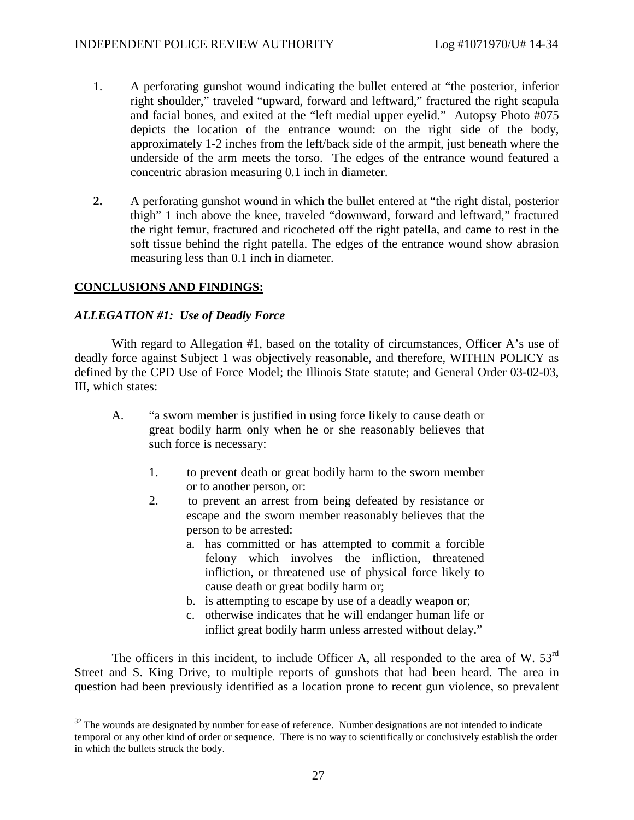- 1. A perforating gunshot wound indicating the bullet entered at "the posterior, inferior right shoulder," traveled "upward, forward and leftward," fractured the right scapula and facial bones, and exited at the "left medial upper eyelid." Autopsy Photo #075 depicts the location of the entrance wound: on the right side of the body, approximately 1-2 inches from the left/back side of the armpit, just beneath where the underside of the arm meets the torso. The edges of the entrance wound featured a concentric abrasion measuring 0.1 inch in diameter.
- **2.** A perforating gunshot wound in which the bullet entered at "the right distal, posterior thigh" 1 inch above the knee, traveled "downward, forward and leftward," fractured the right femur, fractured and ricocheted off the right patella, and came to rest in the soft tissue behind the right patella. The edges of the entrance wound show abrasion measuring less than 0.1 inch in diameter.

#### **CONCLUSIONS AND FINDINGS:**

#### *ALLEGATION #1: Use of Deadly Force*

With regard to Allegation #1, based on the totality of circumstances, Officer A's use of deadly force against Subject 1 was objectively reasonable, and therefore, WITHIN POLICY as defined by the CPD Use of Force Model; the Illinois State statute; and General Order 03-02-03, III, which states:

- A. "a sworn member is justified in using force likely to cause death or great bodily harm only when he or she reasonably believes that such force is necessary:
	- 1. to prevent death or great bodily harm to the sworn member or to another person, or:
	- 2. to prevent an arrest from being defeated by resistance or escape and the sworn member reasonably believes that the person to be arrested:
		- a. has committed or has attempted to commit a forcible felony which involves the infliction, threatened infliction, or threatened use of physical force likely to cause death or great bodily harm or;
		- b. is attempting to escape by use of a deadly weapon or;
		- c. otherwise indicates that he will endanger human life or inflict great bodily harm unless arrested without delay."

The officers in this incident, to include Officer A, all responded to the area of W.  $53<sup>rd</sup>$ Street and S. King Drive, to multiple reports of gunshots that had been heard. The area in question had been previously identified as a location prone to recent gun violence, so prevalent

 $32$  The wounds are designated by number for ease of reference. Number designations are not intended to indicate temporal or any other kind of order or sequence. There is no way to scientifically or conclusively establish the order in which the bullets struck the body.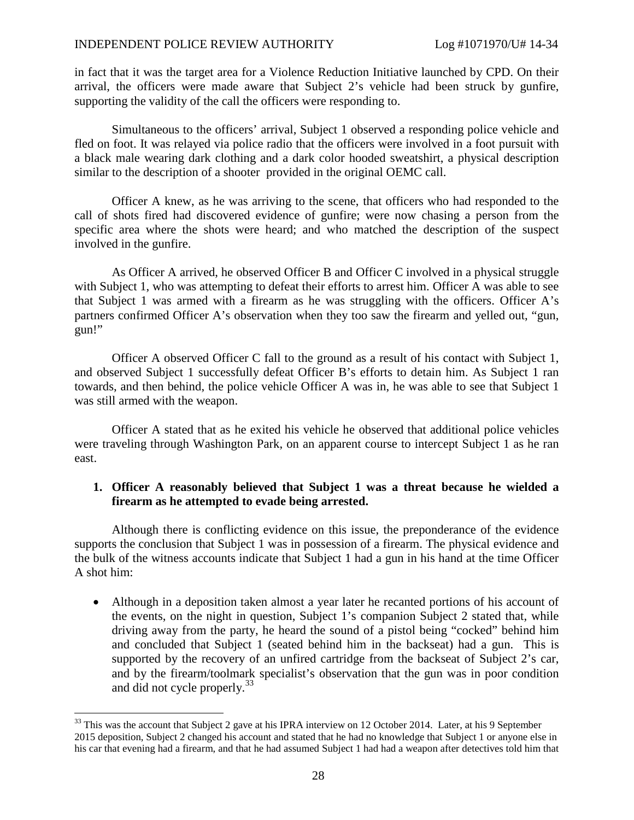in fact that it was the target area for a Violence Reduction Initiative launched by CPD. On their arrival, the officers were made aware that Subject 2's vehicle had been struck by gunfire, supporting the validity of the call the officers were responding to.

Simultaneous to the officers' arrival, Subject 1 observed a responding police vehicle and fled on foot. It was relayed via police radio that the officers were involved in a foot pursuit with a black male wearing dark clothing and a dark color hooded sweatshirt, a physical description similar to the description of a shooter provided in the original OEMC call.

Officer A knew, as he was arriving to the scene, that officers who had responded to the call of shots fired had discovered evidence of gunfire; were now chasing a person from the specific area where the shots were heard; and who matched the description of the suspect involved in the gunfire.

As Officer A arrived, he observed Officer B and Officer C involved in a physical struggle with Subject 1, who was attempting to defeat their efforts to arrest him. Officer A was able to see that Subject 1 was armed with a firearm as he was struggling with the officers. Officer A's partners confirmed Officer A's observation when they too saw the firearm and yelled out, "gun, gun!"

Officer A observed Officer C fall to the ground as a result of his contact with Subject 1, and observed Subject 1 successfully defeat Officer B's efforts to detain him. As Subject 1 ran towards, and then behind, the police vehicle Officer A was in, he was able to see that Subject 1 was still armed with the weapon.

Officer A stated that as he exited his vehicle he observed that additional police vehicles were traveling through Washington Park, on an apparent course to intercept Subject 1 as he ran east.

#### **1. Officer A reasonably believed that Subject 1 was a threat because he wielded a firearm as he attempted to evade being arrested.**

Although there is conflicting evidence on this issue, the preponderance of the evidence supports the conclusion that Subject 1 was in possession of a firearm. The physical evidence and the bulk of the witness accounts indicate that Subject 1 had a gun in his hand at the time Officer A shot him:

 Although in a deposition taken almost a year later he recanted portions of his account of the events, on the night in question, Subject 1's companion Subject 2 stated that, while driving away from the party, he heard the sound of a pistol being "cocked" behind him and concluded that Subject 1 (seated behind him in the backseat) had a gun. This is supported by the recovery of an unfired cartridge from the backseat of Subject 2's car, and by the firearm/toolmark specialist's observation that the gun was in poor condition and did not cycle properly.<sup>33</sup>

<sup>&</sup>lt;sup>33</sup> This was the account that Subject 2 gave at his IPRA interview on 12 October 2014. Later, at his 9 September 2015 deposition, Subject 2 changed his account and stated that he had no knowledge that Subject 1 or anyone else in his car that evening had a firearm, and that he had assumed Subject 1 had had a weapon after detectives told him that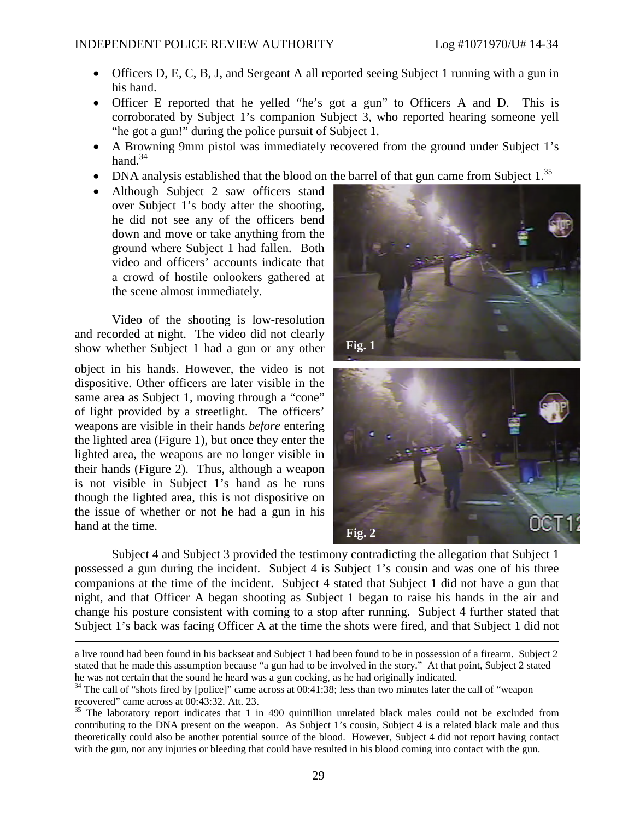- Officers D, E, C, B, J, and Sergeant A all reported seeing Subject 1 running with a gun in his hand.
- Officer E reported that he yelled "he's got a gun" to Officers A and D. This is corroborated by Subject 1's companion Subject 3, who reported hearing someone yell "he got a gun!" during the police pursuit of Subject 1.
- A Browning 9mm pistol was immediately recovered from the ground under Subject 1's hand. $34$
- DNA analysis established that the blood on the barrel of that gun came from Subject  $1.^{35}$ .
- Although Subject 2 saw officers stand over Subject 1's body after the shooting, he did not see any of the officers bend down and move or take anything from the ground where Subject 1 had fallen. Both video and officers' accounts indicate that a crowd of hostile onlookers gathered at the scene almost immediately.

Video of the shooting is low-resolution and recorded at night. The video did not clearly show whether Subject 1 had a gun or any other

object in his hands. However, the video is not dispositive. Other officers are later visible in the same area as Subject 1, moving through a "cone" of light provided by a streetlight. The officers' weapons are visible in their hands *before* entering the lighted area (Figure 1), but once they enter the lighted area, the weapons are no longer visible in their hands (Figure 2). Thus, although a weapon is not visible in Subject 1's hand as he runs though the lighted area, this is not dispositive on the issue of whether or not he had a gun in his hand at the time.





Subject 4 and Subject 3 provided the testimony contradicting the allegation that Subject 1 possessed a gun during the incident. Subject 4 is Subject 1's cousin and was one of his three companions at the time of the incident. Subject 4 stated that Subject 1 did not have a gun that night, and that Officer A began shooting as Subject 1 began to raise his hands in the air and change his posture consistent with coming to a stop after running. Subject 4 further stated that Subject 1's back was facing Officer A at the time the shots were fired, and that Subject 1 did not

a live round had been found in his backseat and Subject 1 had been found to be in possession of a firearm. Subject 2 stated that he made this assumption because "a gun had to be involved in the story." At that point, Subject 2 stated he was not certain that the sound he heard was a gun cocking, as he had originally indicated.

<sup>&</sup>lt;sup>34</sup> The call of "shots fired by [police]" came across at 00:41:38; less than two minutes later the call of "weapon recovered" came across at 00:43:32. Att. 23.

<sup>&</sup>lt;sup>35</sup> The laboratory report indicates that 1 in 490 quintillion unrelated black males could not be excluded from contributing to the DNA present on the weapon. As Subject 1's cousin, Subject 4 is a related black male and thus theoretically could also be another potential source of the blood. However, Subject 4 did not report having contact with the gun, nor any injuries or bleeding that could have resulted in his blood coming into contact with the gun.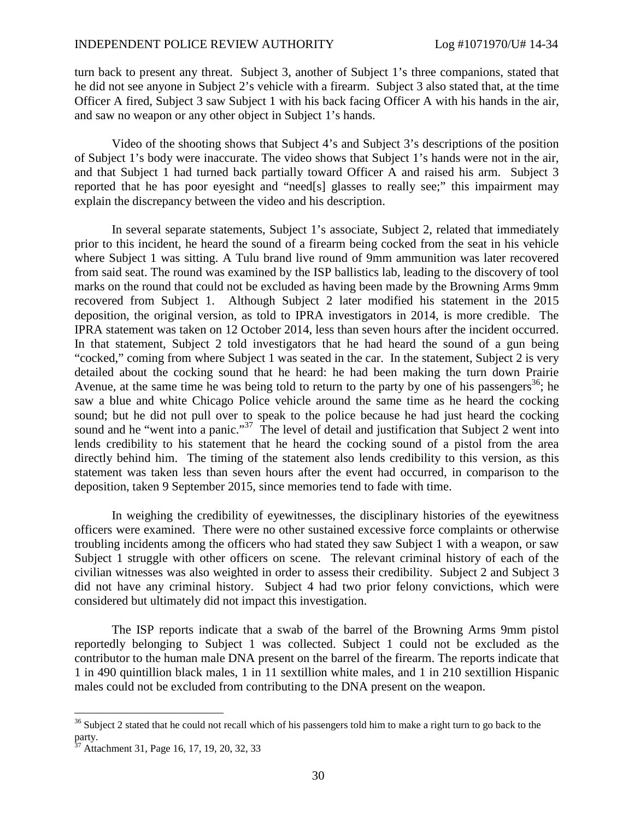turn back to present any threat. Subject 3, another of Subject 1's three companions, stated that he did not see anyone in Subject 2's vehicle with a firearm. Subject 3 also stated that, at the time Officer A fired, Subject 3 saw Subject 1 with his back facing Officer A with his hands in the air, and saw no weapon or any other object in Subject 1's hands.

Video of the shooting shows that Subject 4's and Subject 3's descriptions of the position of Subject 1's body were inaccurate. The video shows that Subject 1's hands were not in the air, and that Subject 1 had turned back partially toward Officer A and raised his arm. Subject 3 reported that he has poor eyesight and "need[s] glasses to really see;" this impairment may explain the discrepancy between the video and his description.

In several separate statements, Subject 1's associate, Subject 2, related that immediately prior to this incident, he heard the sound of a firearm being cocked from the seat in his vehicle where Subject 1 was sitting. A Tulu brand live round of 9mm ammunition was later recovered from said seat. The round was examined by the ISP ballistics lab, leading to the discovery of tool marks on the round that could not be excluded as having been made by the Browning Arms 9mm recovered from Subject 1. Although Subject 2 later modified his statement in the 2015 deposition, the original version, as told to IPRA investigators in 2014, is more credible. The IPRA statement was taken on 12 October 2014, less than seven hours after the incident occurred. In that statement, Subject 2 told investigators that he had heard the sound of a gun being "cocked," coming from where Subject 1 was seated in the car. In the statement, Subject 2 is very detailed about the cocking sound that he heard: he had been making the turn down Prairie Avenue, at the same time he was being told to return to the party by one of his passengers<sup>36</sup>; he saw a blue and white Chicago Police vehicle around the same time as he heard the cocking sound; but he did not pull over to speak to the police because he had just heard the cocking sound and he "went into a panic."<sup>37</sup> The level of detail and justification that Subject 2 went into lends credibility to his statement that he heard the cocking sound of a pistol from the area directly behind him. The timing of the statement also lends credibility to this version, as this statement was taken less than seven hours after the event had occurred, in comparison to the deposition, taken 9 September 2015, since memories tend to fade with time.

In weighing the credibility of eyewitnesses, the disciplinary histories of the eyewitness officers were examined. There were no other sustained excessive force complaints or otherwise troubling incidents among the officers who had stated they saw Subject 1 with a weapon, or saw Subject 1 struggle with other officers on scene. The relevant criminal history of each of the civilian witnesses was also weighted in order to assess their credibility. Subject 2 and Subject 3 did not have any criminal history. Subject 4 had two prior felony convictions, which were considered but ultimately did not impact this investigation.

The ISP reports indicate that a swab of the barrel of the Browning Arms 9mm pistol reportedly belonging to Subject 1 was collected. Subject 1 could not be excluded as the contributor to the human male DNA present on the barrel of the firearm. The reports indicate that 1 in 490 quintillion black males, 1 in 11 sextillion white males, and 1 in 210 sextillion Hispanic males could not be excluded from contributing to the DNA present on the weapon.

 $36$  Subject 2 stated that he could not recall which of his passengers told him to make a right turn to go back to the party.

<sup>&</sup>lt;sup>37</sup> Attachment 31, Page 16, 17, 19, 20, 32, 33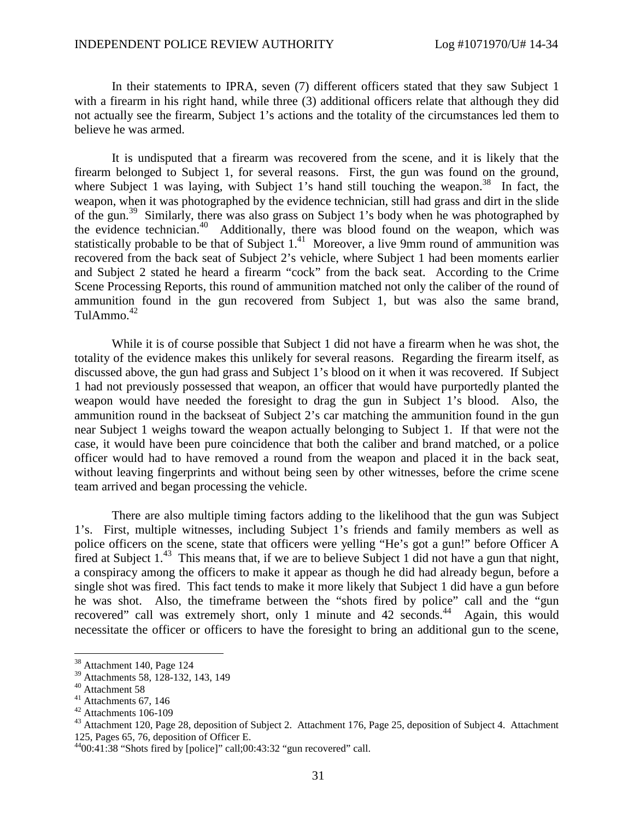In their statements to IPRA, seven (7) different officers stated that they saw Subject 1 with a firearm in his right hand, while three (3) additional officers relate that although they did not actually see the firearm, Subject 1's actions and the totality of the circumstances led them to believe he was armed.

It is undisputed that a firearm was recovered from the scene, and it is likely that the firearm belonged to Subject 1, for several reasons. First, the gun was found on the ground, where Subject 1 was laying, with Subject 1's hand still touching the weapon.<sup>38</sup> In fact, the weapon, when it was photographed by the evidence technician, still had grass and dirt in the slide of the gun.<sup>39</sup> Similarly, there was also grass on Subject 1's body when he was photographed by the evidence technician.<sup>40</sup> Additionally, there was blood found on the weapon, which was statistically probable to be that of Subject  $1<sup>41</sup>$  Moreover, a live 9mm round of ammunition was recovered from the back seat of Subject 2's vehicle, where Subject 1 had been moments earlier and Subject 2 stated he heard a firearm "cock" from the back seat. According to the Crime Scene Processing Reports, this round of ammunition matched not only the caliber of the round of ammunition found in the gun recovered from Subject 1, but was also the same brand,  $TulAmmo.<sup>42</sup>$ 

While it is of course possible that Subject 1 did not have a firearm when he was shot, the totality of the evidence makes this unlikely for several reasons. Regarding the firearm itself, as discussed above, the gun had grass and Subject 1's blood on it when it was recovered. If Subject 1 had not previously possessed that weapon, an officer that would have purportedly planted the weapon would have needed the foresight to drag the gun in Subject 1's blood. Also, the ammunition round in the backseat of Subject 2's car matching the ammunition found in the gun near Subject 1 weighs toward the weapon actually belonging to Subject 1. If that were not the case, it would have been pure coincidence that both the caliber and brand matched, or a police officer would had to have removed a round from the weapon and placed it in the back seat, without leaving fingerprints and without being seen by other witnesses, before the crime scene team arrived and began processing the vehicle.

There are also multiple timing factors adding to the likelihood that the gun was Subject 1's. First, multiple witnesses, including Subject 1's friends and family members as well as police officers on the scene, state that officers were yelling "He's got a gun!" before Officer A fired at Subject 1.<sup>43</sup> This means that, if we are to believe Subject 1 did not have a gun that night, a conspiracy among the officers to make it appear as though he did had already begun, before a single shot was fired. This fact tends to make it more likely that Subject 1 did have a gun before he was shot. Also, the timeframe between the "shots fired by police" call and the "gun recovered" call was extremely short, only 1 minute and 42 seconds.<sup>44</sup> Again, this would necessitate the officer or officers to have the foresight to bring an additional gun to the scene,

<sup>38</sup> Attachment 140, Page 124

<sup>&</sup>lt;sup>39</sup> Attachments 58, 128-132, 143, 149

<sup>40</sup> Attachment 58

 $41$  Attachments 67, 146

<sup>42</sup> Attachments 106-109

<sup>&</sup>lt;sup>43</sup> Attachment 120, Page 28, deposition of Subject 2. Attachment 176, Page 25, deposition of Subject 4. Attachment 125, Pages 65, 76, deposition of Officer E.

 $4400:41:38$  "Shots fired by [police]" call;00:43:32 "gun recovered" call.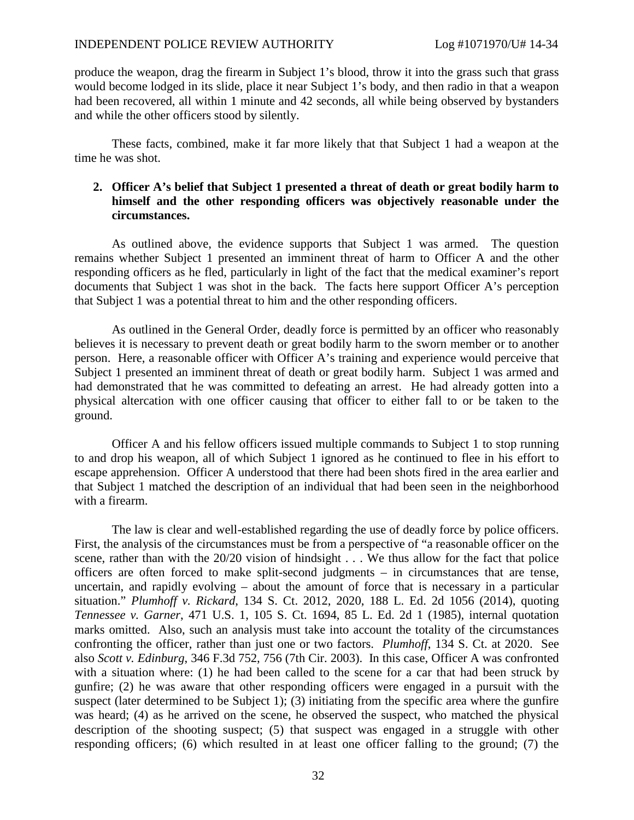produce the weapon, drag the firearm in Subject 1's blood, throw it into the grass such that grass would become lodged in its slide, place it near Subject 1's body, and then radio in that a weapon had been recovered, all within 1 minute and 42 seconds, all while being observed by bystanders and while the other officers stood by silently.

These facts, combined, make it far more likely that that Subject 1 had a weapon at the time he was shot.

#### **2. Officer A's belief that Subject 1 presented a threat of death or great bodily harm to himself and the other responding officers was objectively reasonable under the circumstances.**

As outlined above, the evidence supports that Subject 1 was armed. The question remains whether Subject 1 presented an imminent threat of harm to Officer A and the other responding officers as he fled, particularly in light of the fact that the medical examiner's report documents that Subject 1 was shot in the back. The facts here support Officer A's perception that Subject 1 was a potential threat to him and the other responding officers.

As outlined in the General Order, deadly force is permitted by an officer who reasonably believes it is necessary to prevent death or great bodily harm to the sworn member or to another person. Here, a reasonable officer with Officer A's training and experience would perceive that Subject 1 presented an imminent threat of death or great bodily harm. Subject 1 was armed and had demonstrated that he was committed to defeating an arrest. He had already gotten into a physical altercation with one officer causing that officer to either fall to or be taken to the ground.

Officer A and his fellow officers issued multiple commands to Subject 1 to stop running to and drop his weapon, all of which Subject 1 ignored as he continued to flee in his effort to escape apprehension. Officer A understood that there had been shots fired in the area earlier and that Subject 1 matched the description of an individual that had been seen in the neighborhood with a firearm.

The law is clear and well-established regarding the use of deadly force by police officers. First, the analysis of the circumstances must be from a perspective of "a reasonable officer on the scene, rather than with the 20/20 vision of hindsight . . . We thus allow for the fact that police officers are often forced to make split-second judgments – in circumstances that are tense, uncertain, and rapidly evolving – about the amount of force that is necessary in a particular situation." *Plumhoff v. Rickard*, 134 S. Ct. 2012, 2020, 188 L. Ed. 2d 1056 (2014), quoting *Tennessee v. Garner*, 471 U.S. 1, 105 S. Ct. 1694, 85 L. Ed. 2d 1 (1985), internal quotation marks omitted. Also, such an analysis must take into account the totality of the circumstances confronting the officer, rather than just one or two factors. *Plumhoff*, 134 S. Ct. at 2020. See also *Scott v. Edinburg*, 346 F.3d 752, 756 (7th Cir. 2003). In this case, Officer A was confronted with a situation where: (1) he had been called to the scene for a car that had been struck by gunfire; (2) he was aware that other responding officers were engaged in a pursuit with the suspect (later determined to be Subject 1); (3) initiating from the specific area where the gunfire was heard; (4) as he arrived on the scene, he observed the suspect, who matched the physical description of the shooting suspect; (5) that suspect was engaged in a struggle with other responding officers; (6) which resulted in at least one officer falling to the ground; (7) the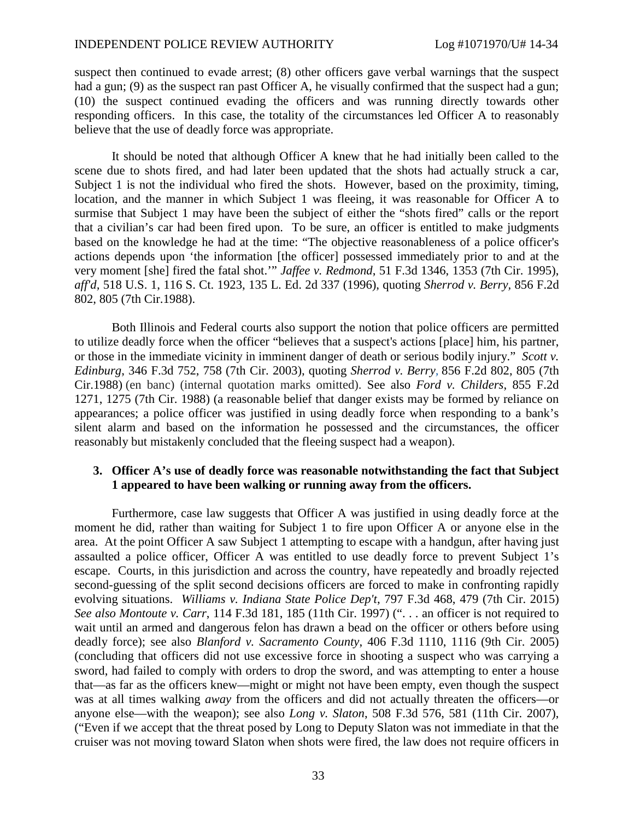suspect then continued to evade arrest; (8) other officers gave verbal warnings that the suspect had a gun; (9) as the suspect ran past Officer A, he visually confirmed that the suspect had a gun; (10) the suspect continued evading the officers and was running directly towards other responding officers. In this case, the totality of the circumstances led Officer A to reasonably believe that the use of deadly force was appropriate.

It should be noted that although Officer A knew that he had initially been called to the scene due to shots fired, and had later been updated that the shots had actually struck a car, Subject 1 is not the individual who fired the shots. However, based on the proximity, timing, location, and the manner in which Subject 1 was fleeing, it was reasonable for Officer A to surmise that Subject 1 may have been the subject of either the "shots fired" calls or the report that a civilian's car had been fired upon. To be sure, an officer is entitled to make judgments based on the knowledge he had at the time: "The objective reasonableness of a police officer's actions depends upon 'the information [the officer] possessed immediately prior to and at the very moment [she] fired the fatal shot.'" *Jaffee v. Redmond*, 51 F.3d 1346, 1353 (7th Cir. 1995), *aff'd,* 518 U.S. 1, 116 S. Ct. 1923, 135 L. Ed. 2d 337 (1996), quoting *Sherrod v. Berry,* 856 F.2d 802, 805 (7th Cir.1988).

Both Illinois and Federal courts also support the notion that police officers are permitted to utilize deadly force when the officer "believes that a suspect's actions [place] him, his partner, or those in the immediate vicinity in imminent danger of death or serious bodily injury." *Scott v. Edinburg*, 346 F.3d 752, 758 (7th Cir. 2003), quoting *Sherrod v. Berry,* 856 F.2d 802, 805 (7th Cir.1988) (en banc) (internal quotation marks omitted). See also *Ford v. Childers*, 855 F.2d 1271, 1275 (7th Cir. 1988) (a reasonable belief that danger exists may be formed by reliance on appearances; a police officer was justified in using deadly force when responding to a bank's silent alarm and based on the information he possessed and the circumstances, the officer reasonably but mistakenly concluded that the fleeing suspect had a weapon).

#### **3. Officer A's use of deadly force was reasonable notwithstanding the fact that Subject 1 appeared to have been walking or running away from the officers.**

Furthermore, case law suggests that Officer A was justified in using deadly force at the moment he did, rather than waiting for Subject 1 to fire upon Officer A or anyone else in the area. At the point Officer A saw Subject 1 attempting to escape with a handgun, after having just assaulted a police officer, Officer A was entitled to use deadly force to prevent Subject 1's escape. Courts, in this jurisdiction and across the country, have repeatedly and broadly rejected second-guessing of the split second decisions officers are forced to make in confronting rapidly evolving situations. *Williams v. Indiana State Police Dep't*, 797 F.3d 468, 479 (7th Cir. 2015) *See also Montoute v. Carr*, 114 F.3d 181, 185 (11th Cir. 1997) (". . . an officer is not required to wait until an armed and dangerous felon has drawn a bead on the officer or others before using deadly force); see also *Blanford v. Sacramento County*, 406 F.3d 1110, 1116 (9th Cir. 2005) (concluding that officers did not use excessive force in shooting a suspect who was carrying a sword, had failed to comply with orders to drop the sword, and was attempting to enter a house that—as far as the officers knew—might or might not have been empty, even though the suspect was at all times walking *away* from the officers and did not actually threaten the officers—or anyone else—with the weapon); see also *Long v. Slaton*, 508 F.3d 576, 581 (11th Cir. 2007), ("Even if we accept that the threat posed by Long to Deputy Slaton was not immediate in that the cruiser was not moving toward Slaton when shots were fired, the law does not require officers in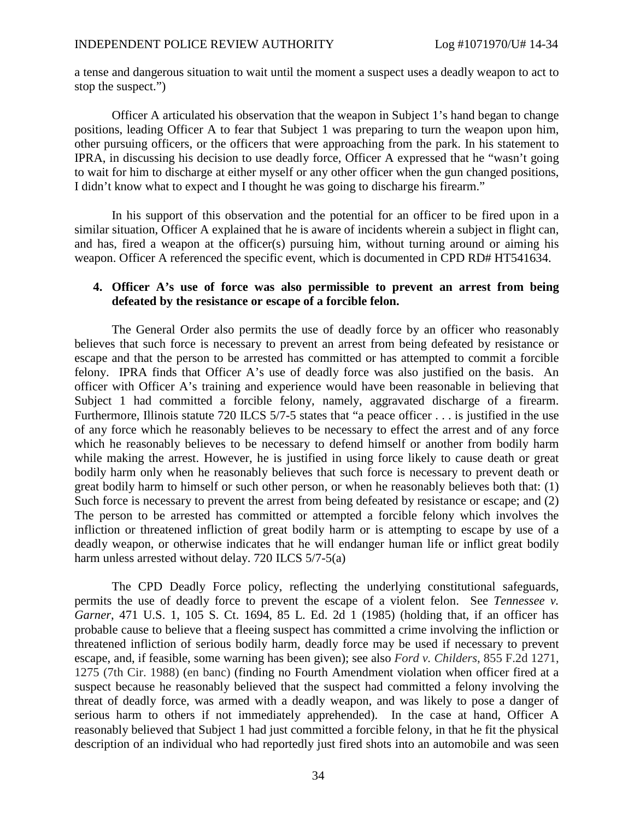a tense and dangerous situation to wait until the moment a suspect uses a deadly weapon to act to stop the suspect.")

Officer A articulated his observation that the weapon in Subject 1's hand began to change positions, leading Officer A to fear that Subject 1 was preparing to turn the weapon upon him, other pursuing officers, or the officers that were approaching from the park. In his statement to IPRA, in discussing his decision to use deadly force, Officer A expressed that he "wasn't going to wait for him to discharge at either myself or any other officer when the gun changed positions, I didn't know what to expect and I thought he was going to discharge his firearm."

In his support of this observation and the potential for an officer to be fired upon in a similar situation, Officer A explained that he is aware of incidents wherein a subject in flight can, and has, fired a weapon at the officer(s) pursuing him, without turning around or aiming his weapon. Officer A referenced the specific event, which is documented in CPD RD# HT541634.

#### **4. Officer A's use of force was also permissible to prevent an arrest from being defeated by the resistance or escape of a forcible felon.**

The General Order also permits the use of deadly force by an officer who reasonably believes that such force is necessary to prevent an arrest from being defeated by resistance or escape and that the person to be arrested has committed or has attempted to commit a forcible felony. IPRA finds that Officer A's use of deadly force was also justified on the basis. An officer with Officer A's training and experience would have been reasonable in believing that Subject 1 had committed a forcible felony, namely, aggravated discharge of a firearm. Furthermore, Illinois statute 720 ILCS 5/7-5 states that "a peace officer . . . is justified in the use of any force which he reasonably believes to be necessary to effect the arrest and of any force which he reasonably believes to be necessary to defend himself or another from bodily harm while making the arrest. However, he is justified in using force likely to cause death or great bodily harm only when he reasonably believes that such force is necessary to prevent death or great bodily harm to himself or such other person, or when he reasonably believes both that: (1) Such force is necessary to prevent the arrest from being defeated by resistance or escape; and (2) The person to be arrested has committed or attempted a forcible felony which involves the infliction or threatened infliction of great bodily harm or is attempting to escape by use of a deadly weapon, or otherwise indicates that he will endanger human life or inflict great bodily harm unless arrested without delay. 720 ILCS 5/7-5(a)

The CPD Deadly Force policy, reflecting the underlying constitutional safeguards, permits the use of deadly force to prevent the escape of a violent felon. See *Tennessee v. Garner*, 471 U.S. 1, 105 S. Ct. 1694, 85 L. Ed. 2d 1 (1985) (holding that, if an officer has probable cause to believe that a fleeing suspect has committed a crime involving the infliction or threatened infliction of serious bodily harm, deadly force may be used if necessary to prevent escape, and, if feasible, some warning has been given); see also *Ford v. Childers*, 855 F.2d 1271, 1275 (7th Cir. 1988) (en banc) (finding no Fourth Amendment violation when officer fired at a suspect because he reasonably believed that the suspect had committed a felony involving the threat of deadly force, was armed with a deadly weapon, and was likely to pose a danger of serious harm to others if not immediately apprehended). In the case at hand, Officer A reasonably believed that Subject 1 had just committed a forcible felony, in that he fit the physical description of an individual who had reportedly just fired shots into an automobile and was seen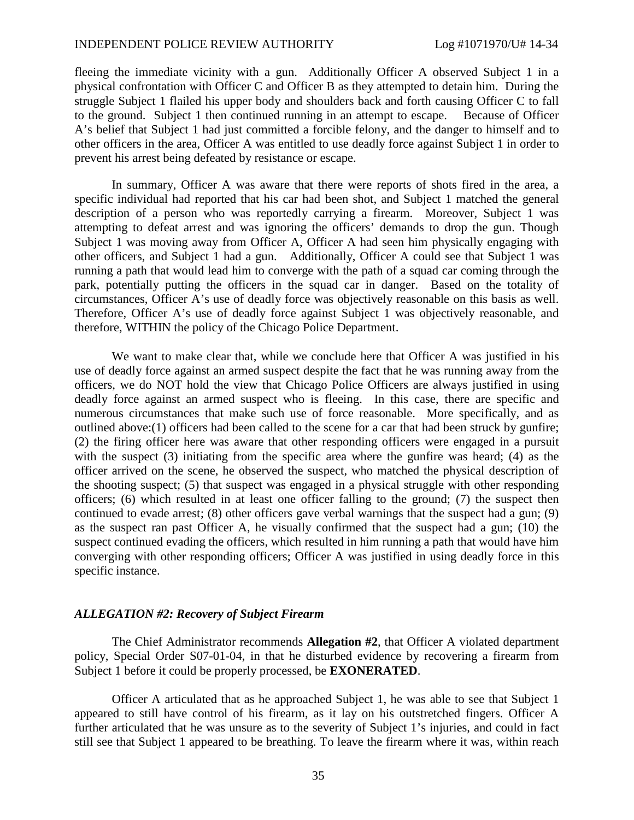fleeing the immediate vicinity with a gun. Additionally Officer A observed Subject 1 in a physical confrontation with Officer C and Officer B as they attempted to detain him. During the struggle Subject 1 flailed his upper body and shoulders back and forth causing Officer C to fall to the ground. Subject 1 then continued running in an attempt to escape. Because of Officer A's belief that Subject 1 had just committed a forcible felony, and the danger to himself and to other officers in the area, Officer A was entitled to use deadly force against Subject 1 in order to prevent his arrest being defeated by resistance or escape.

In summary, Officer A was aware that there were reports of shots fired in the area, a specific individual had reported that his car had been shot, and Subject 1 matched the general description of a person who was reportedly carrying a firearm. Moreover, Subject 1 was attempting to defeat arrest and was ignoring the officers' demands to drop the gun. Though Subject 1 was moving away from Officer A, Officer A had seen him physically engaging with other officers, and Subject 1 had a gun. Additionally, Officer A could see that Subject 1 was running a path that would lead him to converge with the path of a squad car coming through the park, potentially putting the officers in the squad car in danger. Based on the totality of circumstances, Officer A's use of deadly force was objectively reasonable on this basis as well. Therefore, Officer A's use of deadly force against Subject 1 was objectively reasonable, and therefore, WITHIN the policy of the Chicago Police Department.

We want to make clear that, while we conclude here that Officer A was justified in his use of deadly force against an armed suspect despite the fact that he was running away from the officers, we do NOT hold the view that Chicago Police Officers are always justified in using deadly force against an armed suspect who is fleeing. In this case, there are specific and numerous circumstances that make such use of force reasonable. More specifically, and as outlined above:(1) officers had been called to the scene for a car that had been struck by gunfire; (2) the firing officer here was aware that other responding officers were engaged in a pursuit with the suspect (3) initiating from the specific area where the gunfire was heard; (4) as the officer arrived on the scene, he observed the suspect, who matched the physical description of the shooting suspect; (5) that suspect was engaged in a physical struggle with other responding officers; (6) which resulted in at least one officer falling to the ground; (7) the suspect then continued to evade arrest; (8) other officers gave verbal warnings that the suspect had a gun; (9) as the suspect ran past Officer A, he visually confirmed that the suspect had a gun; (10) the suspect continued evading the officers, which resulted in him running a path that would have him converging with other responding officers; Officer A was justified in using deadly force in this specific instance.

#### *ALLEGATION #2: Recovery of Subject Firearm*

The Chief Administrator recommends **Allegation #2**, that Officer A violated department policy, Special Order S07-01-04, in that he disturbed evidence by recovering a firearm from Subject 1 before it could be properly processed, be **EXONERATED**.

Officer A articulated that as he approached Subject 1, he was able to see that Subject 1 appeared to still have control of his firearm, as it lay on his outstretched fingers. Officer A further articulated that he was unsure as to the severity of Subject 1's injuries, and could in fact still see that Subject 1 appeared to be breathing. To leave the firearm where it was, within reach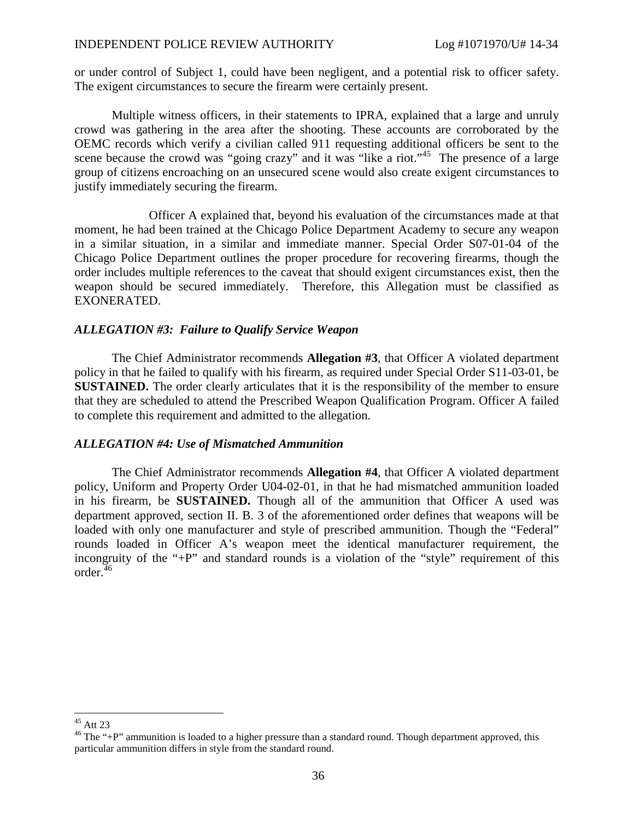or under control of Subject 1, could have been negligent, and a potential risk to officer safety. The exigent circumstances to secure the firearm were certainly present.

Multiple witness officers, in their statements to IPRA, explained that a large and unruly crowd was gathering in the area after the shooting. These accounts are corroborated by the OEMC records which verify a civilian called 911 requesting additional officers be sent to the scene because the crowd was "going crazy" and it was "like a riot."<sup>45</sup> The presence of a large group of citizens encroaching on an unsecured scene would also create exigent circumstances to justify immediately securing the firearm.

Officer A explained that, beyond his evaluation of the circumstances made at that moment, he had been trained at the Chicago Police Department Academy to secure any weapon in a similar situation, in a similar and immediate manner. Special Order S07-01-04 of the Chicago Police Department outlines the proper procedure for recovering firearms, though the order includes multiple references to the caveat that should exigent circumstances exist, then the weapon should be secured immediately. Therefore, this Allegation must be classified as EXONERATED.

#### *ALLEGATION #3: Failure to Qualify Service Weapon*

The Chief Administrator recommends **Allegation #3**, that Officer A violated department policy in that he failed to qualify with his firearm, as required under Special Order S11-03-01, be **SUSTAINED.** The order clearly articulates that it is the responsibility of the member to ensure that they are scheduled to attend the Prescribed Weapon Qualification Program. Officer A failed to complete this requirement and admitted to the allegation.

#### *ALLEGATION #4: Use of Mismatched Ammunition*

The Chief Administrator recommends **Allegation #4**, that Officer A violated department policy, Uniform and Property Order U04-02-01, in that he had mismatched ammunition loaded in his firearm, be **SUSTAINED.** Though all of the ammunition that Officer A used was department approved, section II. B. 3 of the aforementioned order defines that weapons will be loaded with only one manufacturer and style of prescribed ammunition. Though the "Federal" rounds loaded in Officer A's weapon meet the identical manufacturer requirement, the incongruity of the "+P" and standard rounds is a violation of the "style" requirement of this order. $46$ 

<sup>45</sup> Att 23

 $46$  The "+P" ammunition is loaded to a higher pressure than a standard round. Though department approved, this particular ammunition differs in style from the standard round.